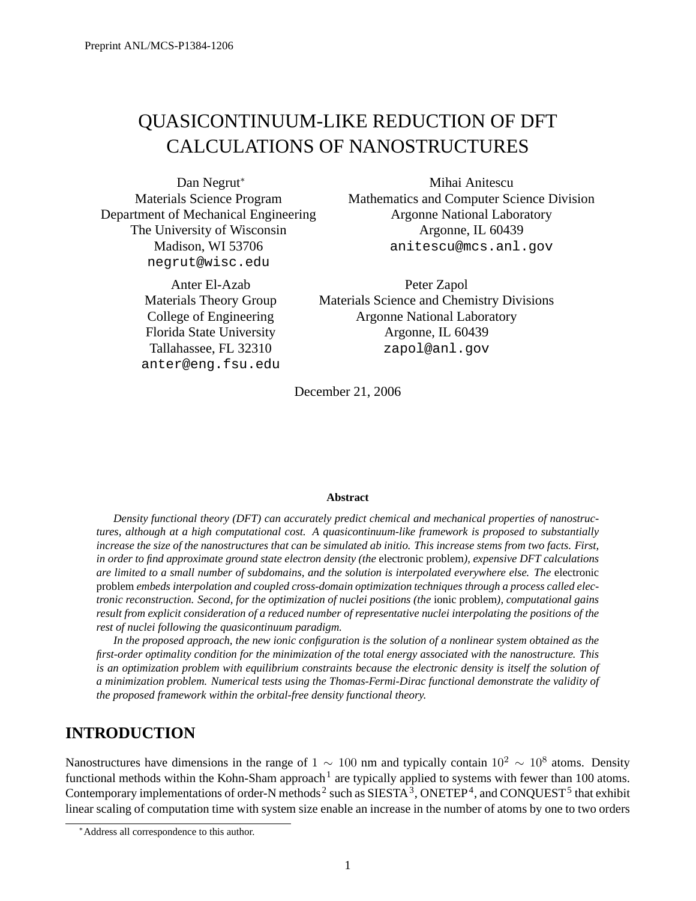# QUASICONTINUUM-LIKE REDUCTION OF DFT CALCULATIONS OF NANOSTRUCTURES

Dan Negrut<sup>\*</sup> Materials Science Program Department of Mechanical Engineering The University of Wisconsin Madison, WI 53706 negrut@wisc.edu

> Anter El-Azab Materials Theory Group College of Engineering Florida State University Tallahassee, FL 32310 anter@eng.fsu.edu

Mihai Anitescu Mathematics and Computer Science Division Argonne National Laboratory Argonne, IL 60439 anitescu@mcs.anl.gov

Peter Zapol Materials Science and Chemistry Divisions Argonne National Laboratory Argonne, IL 60439 zapol@anl.gov

December 21, 2006

#### **Abstract**

*Density functional theory (DFT) can accurately predict chemical and mechanical properties of nanostructures, although at a high computational cost. A quasicontinuum-like framework is proposed to substantially increase the size of the nanostructures that can be simulated ab initio. This increase stems from two facts. First, in order to find approximate ground state electron density (the* electronic problem*), expensive DFT calculations are limited to a small number of subdomains, and the solution is interpolated everywhere else. The* electronic problem *embeds interpolation and coupled cross-domain optimization techniques through a process called electronic reconstruction. Second, for the optimization of nuclei positions (the* ionic problem*), computational gains result from explicit consideration of a reduced number of representative nuclei interpolating the positions of the rest of nuclei following the quasicontinuum paradigm.*

*In the proposed approach, the new ionic configuration is the solution of a nonlinear system obtained as the first-order optimality condition for the minimization of the total energy associated with the nanostructure. This is an optimization problem with equilibrium constraints because the electronic density is itself the solution of a minimization problem. Numerical tests using the Thomas-Fermi-Dirac functional demonstrate the validity of the proposed framework within the orbital-free density functional theory.*

# **INTRODUCTION**

Nanostructures have dimensions in the range of  $1 \sim 100$  nm and typically contain  $10^2 \sim 10^8$  atoms. Density functional methods within the Kohn-Sham approach<sup>1</sup> are typically applied to systems with fewer than 100 atoms. Contemporary implementations of order-N methods<sup>2</sup> such as SIESTA<sup>3</sup>, ONETEP<sup>4</sup>, and CONQUEST<sup>5</sup> that exhibit linear scaling of computation time with system size enable an increase in the number of atoms by one to two orders

<sup>∗</sup>Address all correspondence to this author.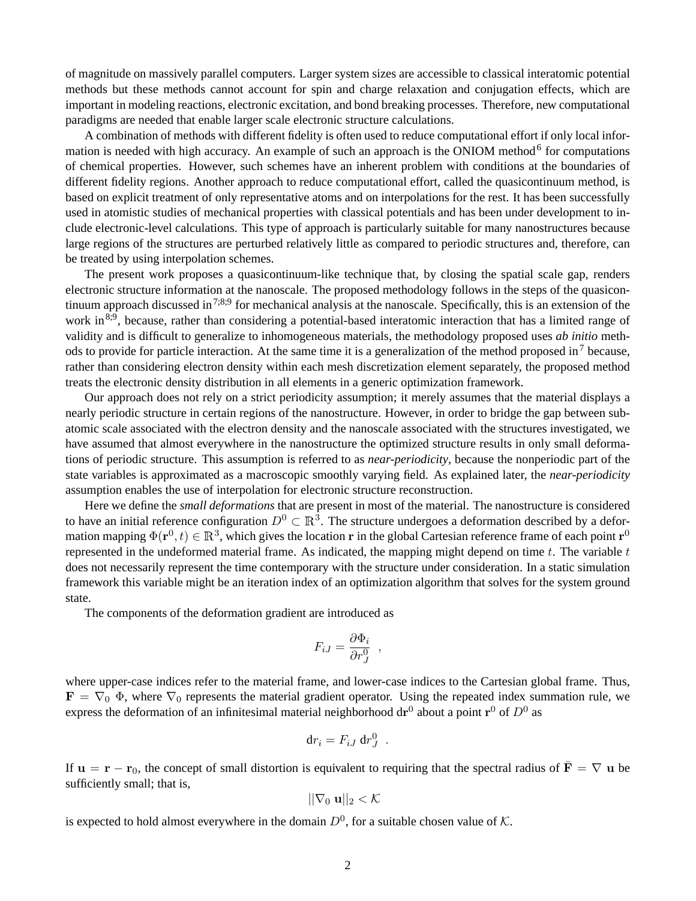of magnitude on massively parallel computers. Larger system sizes are accessible to classical interatomic potential methods but these methods cannot account for spin and charge relaxation and conjugation effects, which are important in modeling reactions, electronic excitation, and bond breaking processes. Therefore, new computational paradigms are needed that enable larger scale electronic structure calculations.

A combination of methods with different fidelity is often used to reduce computational effort if only local information is needed with high accuracy. An example of such an approach is the ONIOM method<sup>6</sup> for computations of chemical properties. However, such schemes have an inherent problem with conditions at the boundaries of different fidelity regions. Another approach to reduce computational effort, called the quasicontinuum method, is based on explicit treatment of only representative atoms and on interpolations for the rest. It has been successfully used in atomistic studies of mechanical properties with classical potentials and has been under development to include electronic-level calculations. This type of approach is particularly suitable for many nanostructures because large regions of the structures are perturbed relatively little as compared to periodic structures and, therefore, can be treated by using interpolation schemes.

The present work proposes a quasicontinuum-like technique that, by closing the spatial scale gap, renders electronic structure information at the nanoscale. The proposed methodology follows in the steps of the quasicontinuum approach discussed in  $7;8;9$  for mechanical analysis at the nanoscale. Specifically, this is an extension of the work in <sup>8;9</sup>, because, rather than considering a potential-based interatomic interaction that has a limited range of validity and is difficult to generalize to inhomogeneous materials, the methodology proposed uses *ab initio* methods to provide for particle interaction. At the same time it is a generalization of the method proposed in<sup>7</sup> because, rather than considering electron density within each mesh discretization element separately, the proposed method treats the electronic density distribution in all elements in a generic optimization framework.

Our approach does not rely on a strict periodicity assumption; it merely assumes that the material displays a nearly periodic structure in certain regions of the nanostructure. However, in order to bridge the gap between subatomic scale associated with the electron density and the nanoscale associated with the structures investigated, we have assumed that almost everywhere in the nanostructure the optimized structure results in only small deformations of periodic structure. This assumption is referred to as *near-periodicity*, because the nonperiodic part of the state variables is approximated as a macroscopic smoothly varying field. As explained later, the *near-periodicity* assumption enables the use of interpolation for electronic structure reconstruction.

Here we define the *small deformations* that are present in most of the material. The nanostructure is considered to have an initial reference configuration  $D^0 \subset \mathbb{R}^3$ . The structure undergoes a deformation described by a deformation mapping  $\Phi(\mathbf{r}^0,t)\in\mathbb{R}^3,$  which gives the location  $\mathbf r$  in the global Cartesian reference frame of each point  $\mathbf r^0$ represented in the undeformed material frame. As indicated, the mapping might depend on time  $t$ . The variable  $t$ does not necessarily represent the time contemporary with the structure under consideration. In a static simulation framework this variable might be an iteration index of an optimization algorithm that solves for the system ground state.

The components of the deformation gradient are introduced as

$$
F_{iJ} = \frac{\partial \Phi_i}{\partial r_J^0} \ ,
$$

where upper-case indices refer to the material frame, and lower-case indices to the Cartesian global frame. Thus,  $\mathbf{F} = \nabla_0 \Phi$ , where  $\nabla_0$  represents the material gradient operator. Using the repeated index summation rule, we express the deformation of an infinitesimal material neighborhood  $dr^0$  about a point  $r^0$  of  $D^0$  as

$$
\mathrm{d}r_i = F_{iJ} \, \mathrm{d}r_J^0 \ .
$$

If  $u = r - r_0$ , the concept of small distortion is equivalent to requiring that the spectral radius of  $\bar{F} = \nabla u$  be sufficiently small; that is,

$$
||\nabla_0 \mathbf{u}||_2 < \mathcal{K}
$$

is expected to hold almost everywhere in the domain  $D^0$ , for a suitable chosen value of K.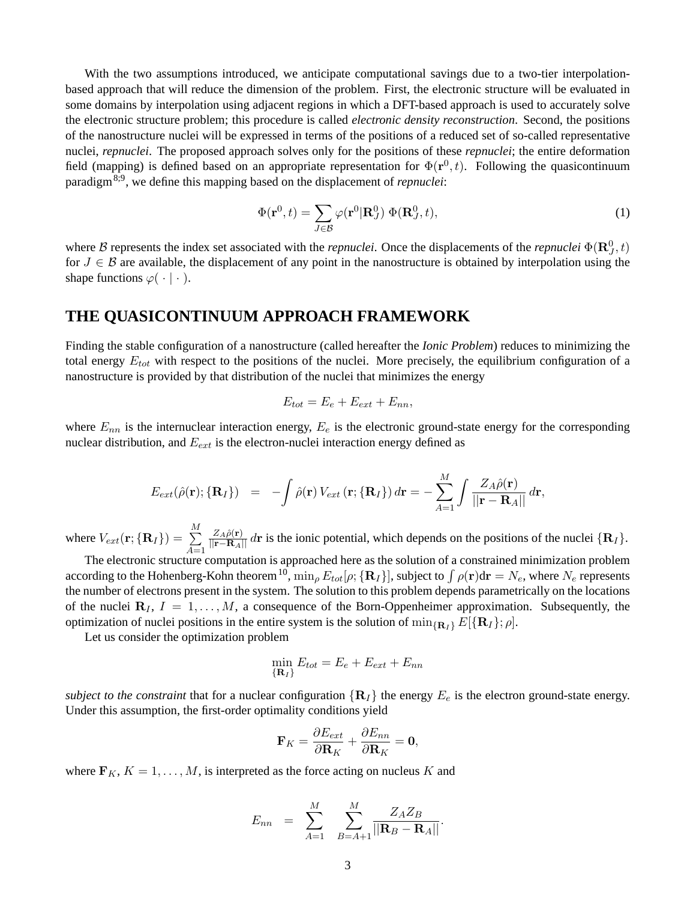With the two assumptions introduced, we anticipate computational savings due to a two-tier interpolationbased approach that will reduce the dimension of the problem. First, the electronic structure will be evaluated in some domains by interpolation using adjacent regions in which a DFT-based approach is used to accurately solve the electronic structure problem; this procedure is called *electronic density reconstruction*. Second, the positions of the nanostructure nuclei will be expressed in terms of the positions of a reduced set of so-called representative nuclei, *repnuclei*. The proposed approach solves only for the positions of these *repnuclei*; the entire deformation field (mapping) is defined based on an appropriate representation for  $\Phi(\mathbf{r}^0, t)$ . Following the quasicontinuum paradigm8;9, we define this mapping based on the displacement of *repnuclei*:

$$
\Phi(\mathbf{r}^0, t) = \sum_{J \in \mathcal{B}} \varphi(\mathbf{r}^0 | \mathbf{R}_J^0) \, \Phi(\mathbf{R}_J^0, t), \tag{1}
$$

where B represents the index set associated with the *repnuclei*. Once the displacements of the *repnuclei*  $\Phi(\mathbf{R}_j^0, t)$ for  $J \in \mathcal{B}$  are available, the displacement of any point in the nanostructure is obtained by interpolation using the shape functions  $\varphi(\cdot | \cdot)$ .

# **THE QUASICONTINUUM APPROACH FRAMEWORK**

Finding the stable configuration of a nanostructure (called hereafter the *Ionic Problem*) reduces to minimizing the total energy  $E_{tot}$  with respect to the positions of the nuclei. More precisely, the equilibrium configuration of a nanostructure is provided by that distribution of the nuclei that minimizes the energy

$$
E_{tot} = E_e + E_{ext} + E_{nn},
$$

where  $E_{nn}$  is the internuclear interaction energy,  $E_e$  is the electronic ground-state energy for the corresponding nuclear distribution, and  $E_{ext}$  is the electron-nuclei interaction energy defined as

$$
E_{ext}(\hat{\rho}(\mathbf{r}); \{\mathbf{R}_I\}) = -\int \hat{\rho}(\mathbf{r}) V_{ext}(\mathbf{r}; \{\mathbf{R}_I\}) d\mathbf{r} = -\sum_{A=1}^M \int \frac{Z_A \hat{\rho}(\mathbf{r})}{||\mathbf{r} - \mathbf{R}_A||} d\mathbf{r},
$$

where  $V_{ext}(\mathbf{r};\{\mathbf{R}_I\}) = \sum\limits_{i=1}^{M}$  $A=1$  $\frac{Z_A \hat{\rho}(\mathbf{r})}{\|\mathbf{r} - \mathbf{R}_A\|} d\mathbf{r}$  is the ionic potential, which depends on the positions of the nuclei  $\{\mathbf{R}_I\}$ .

The electronic structure computation is approached here as the solution of a constrained minimization problem according to the Hohenberg-Kohn theorem  $^{10}$ ,  $\min_\rho E_{tot}[\rho;\{{\bf R}_I\}],$  subject to  $\int \rho({\bf r}){\rm d}{\bf r}=N_e,$  where  $N_e$  represents the number of electrons present in the system. The solution to this problem depends parametrically on the locations of the nuclei  $\mathbf{R}_I$ ,  $I = 1, \ldots, M$ , a consequence of the Born-Oppenheimer approximation. Subsequently, the optimization of nuclei positions in the entire system is the solution of  $\min_{\{R_I\}} E[\{R_I\}; \rho].$ 

Let us consider the optimization problem

$$
\min_{\{\mathbf{R}_I\}} E_{tot} = E_e + E_{ext} + E_{nn}
$$

*subject to the constraint* that for a nuclear configuration  $\{R_I\}$  the energy  $E_e$  is the electron ground-state energy. Under this assumption, the first-order optimality conditions yield

$$
\mathbf{F}_K = \frac{\partial E_{ext}}{\partial \mathbf{R}_K} + \frac{\partial E_{nn}}{\partial \mathbf{R}_K} = \mathbf{0},
$$

where  $\mathbf{F}_K$ ,  $K = 1, \ldots, M$ , is interpreted as the force acting on nucleus K and

$$
E_{nn} \quad = \quad \sum_{A=1}^{M} \quad \sum_{B=A+1}^{M} \frac{Z_A Z_B}{||\mathbf{R}_B - \mathbf{R}_A||}.
$$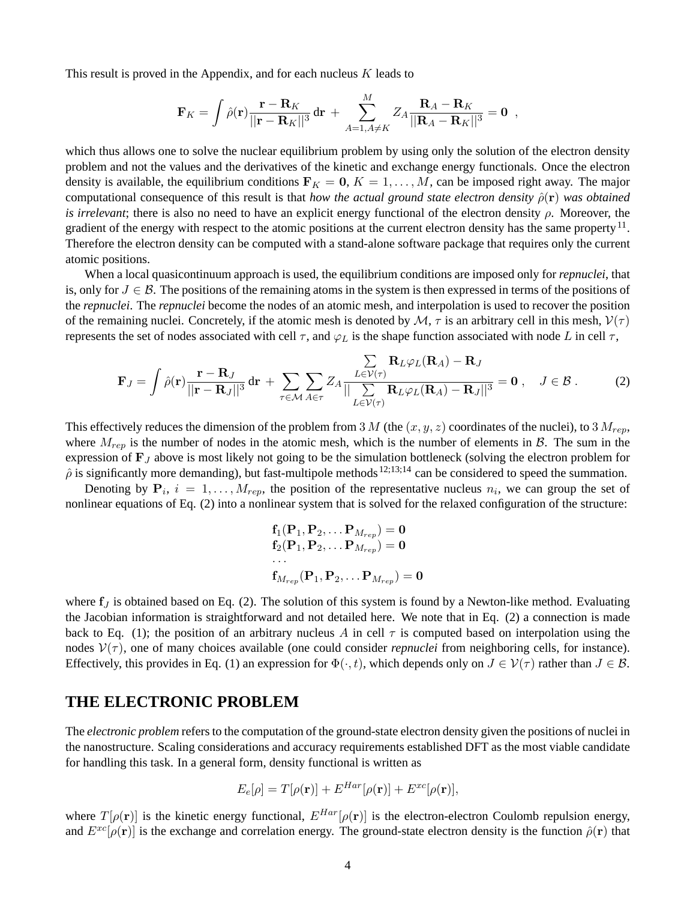This result is proved in the Appendix, and for each nucleus  $K$  leads to

$$
\mathbf{F}_K = \int \hat{\rho}(\mathbf{r}) \frac{\mathbf{r} - \mathbf{R}_K}{||\mathbf{r} - \mathbf{R}_K||^3} \, \mathrm{d}\mathbf{r} \, + \, \sum_{A=1, A \neq K}^M Z_A \frac{\mathbf{R}_A - \mathbf{R}_K}{||\mathbf{R}_A - \mathbf{R}_K||^3} = \mathbf{0} \, \, ,
$$

which thus allows one to solve the nuclear equilibrium problem by using only the solution of the electron density problem and not the values and the derivatives of the kinetic and exchange energy functionals. Once the electron density is available, the equilibrium conditions  $\mathbf{F}_K = \mathbf{0}, K = 1, \ldots, M$ , can be imposed right away. The major computational consequence of this result is that *how the actual ground state electron density*  $\hat{\rho}(\mathbf{r})$  *was obtained is irrelevant*; there is also no need to have an explicit energy functional of the electron density  $\rho$ . Moreover, the gradient of the energy with respect to the atomic positions at the current electron density has the same property  $^{11}$ . Therefore the electron density can be computed with a stand-alone software package that requires only the current atomic positions.

When a local quasicontinuum approach is used, the equilibrium conditions are imposed only for *repnuclei*, that is, only for  $J \in \mathcal{B}$ . The positions of the remaining atoms in the system is then expressed in terms of the positions of the *repnuclei*. The *repnuclei* become the nodes of an atomic mesh, and interpolation is used to recover the position of the remaining nuclei. Concretely, if the atomic mesh is denoted by  $M$ ,  $\tau$  is an arbitrary cell in this mesh,  $V(\tau)$ represents the set of nodes associated with cell  $\tau$ , and  $\varphi_L$  is the shape function associated with node L in cell  $\tau$ ,

$$
\mathbf{F}_J = \int \hat{\rho}(\mathbf{r}) \frac{\mathbf{r} - \mathbf{R}_J}{||\mathbf{r} - \mathbf{R}_J||^3} d\mathbf{r} + \sum_{\tau \in \mathcal{M}} \sum_{A \in \tau} Z_A \frac{\sum_{L \in \mathcal{V}(\tau)} \mathbf{R}_L \varphi_L(\mathbf{R}_A) - \mathbf{R}_J}{||\sum_{L \in \mathcal{V}(\tau)} \mathbf{R}_L \varphi_L(\mathbf{R}_A) - \mathbf{R}_J||^3} = \mathbf{0}, \quad J \in \mathcal{B}.
$$
 (2)

This effectively reduces the dimension of the problem from 3 M (the  $(x, y, z)$  coordinates of the nuclei), to 3  $M_{rep}$ , where  $M_{rep}$  is the number of nodes in the atomic mesh, which is the number of elements in B. The sum in the expression of  $\mathbf{F}_J$  above is most likely not going to be the simulation bottleneck (solving the electron problem for  $\hat{\rho}$  is significantly more demanding), but fast-multipole methods  $^{12;13;14}$  can be considered to speed the summation.

Denoting by  $P_i$ ,  $i = 1, \ldots, M_{rep}$ , the position of the representative nucleus  $n_i$ , we can group the set of nonlinear equations of Eq. (2) into a nonlinear system that is solved for the relaxed configuration of the structure:

$$
\mathbf{f}_1(\mathbf{P}_1, \mathbf{P}_2, \dots \mathbf{P}_{M_{rep}}) = \mathbf{0}
$$
  
\n
$$
\mathbf{f}_2(\mathbf{P}_1, \mathbf{P}_2, \dots \mathbf{P}_{M_{rep}}) = \mathbf{0}
$$
  
\n...  
\n
$$
\mathbf{f}_{M_{rep}}(\mathbf{P}_1, \mathbf{P}_2, \dots \mathbf{P}_{M_{rep}}) = \mathbf{0}
$$

where  $f_{\rm I}$  is obtained based on Eq. (2). The solution of this system is found by a Newton-like method. Evaluating the Jacobian information is straightforward and not detailed here. We note that in Eq. (2) a connection is made back to Eq. (1); the position of an arbitrary nucleus A in cell  $\tau$  is computed based on interpolation using the nodes  $\mathcal{V}(\tau)$ , one of many choices available (one could consider *repnuclei* from neighboring cells, for instance). Effectively, this provides in Eq. (1) an expression for  $\Phi(\cdot, t)$ , which depends only on  $J \in \mathcal{V}(\tau)$  rather than  $J \in \mathcal{B}$ .

### **THE ELECTRONIC PROBLEM**

The *electronic problem* refers to the computation of the ground-state electron density given the positions of nuclei in the nanostructure. Scaling considerations and accuracy requirements established DFT as the most viable candidate for handling this task. In a general form, density functional is written as

$$
E_e[\rho] = T[\rho(\mathbf{r})] + E^{Har}[\rho(\mathbf{r})] + E^{xc}[\rho(\mathbf{r})],
$$

where  $T[\rho(\mathbf{r})]$  is the kinetic energy functional,  $E^{Har}[\rho(\mathbf{r})]$  is the electron-electron Coulomb repulsion energy, and  $E^{xc}[\rho(\mathbf{r})]$  is the exchange and correlation energy. The ground-state electron density is the function  $\hat{\rho}(\mathbf{r})$  that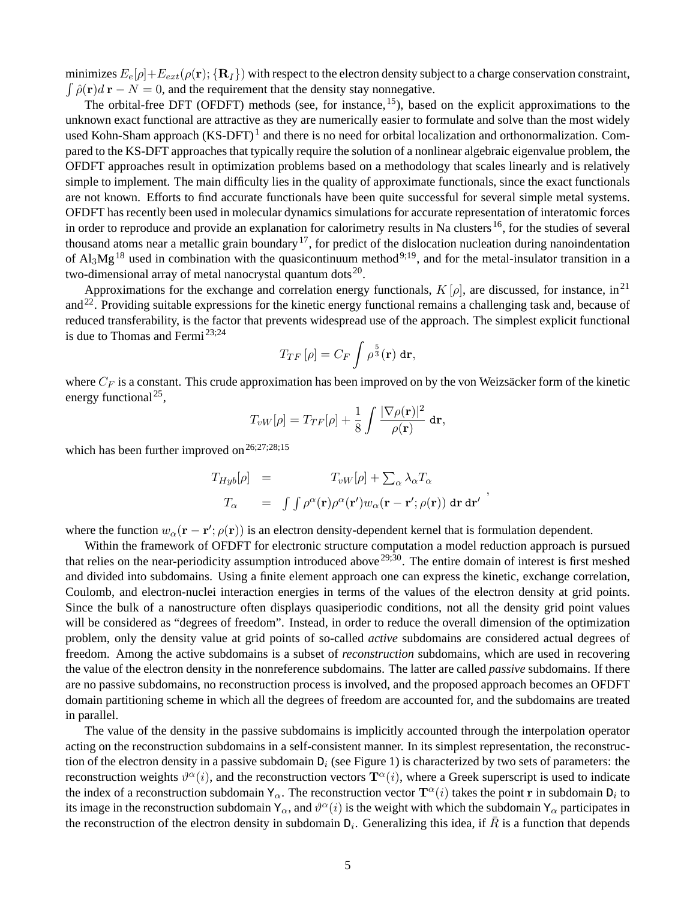minimizes  $E_e[\rho]+E_{ext}(\rho(\mathbf{r}); {\mathbf{R}_I})$  with respect to the electron density subject to a charge conservation constraint,  $\int \hat{\rho}(\mathbf{r})d\mathbf{r} - N = 0$ , and the requirement that the density stay nonnegative.

The orbital-free DFT (OFDFT) methods (see, for instance, <sup>15</sup>), based on the explicit approximations to the unknown exact functional are attractive as they are numerically easier to formulate and solve than the most widely used Kohn-Sham approach (KS-DFT)<sup>1</sup> and there is no need for orbital localization and orthonormalization. Compared to the KS-DFT approaches that typically require the solution of a nonlinear algebraic eigenvalue problem, the OFDFT approaches result in optimization problems based on a methodology that scales linearly and is relatively simple to implement. The main difficulty lies in the quality of approximate functionals, since the exact functionals are not known. Efforts to find accurate functionals have been quite successful for several simple metal systems. OFDFT has recently been used in molecular dynamics simulations for accurate representation of interatomic forces in order to reproduce and provide an explanation for calorimetry results in Na clusters  $^{16}$ , for the studies of several thousand atoms near a metallic grain boundary<sup>17</sup>, for predict of the dislocation nucleation during nanoindentation of  $Al_3Mg^{18}$  used in combination with the quasicontinuum method<sup>9;19</sup>, and for the metal-insulator transition in a two-dimensional array of metal nanocrystal quantum dots $^{20}$ .

Approximations for the exchange and correlation energy functionals,  $K[\rho]$ , are discussed, for instance, in<sup>21</sup> and<sup>22</sup>. Providing suitable expressions for the kinetic energy functional remains a challenging task and, because of reduced transferability, is the factor that prevents widespread use of the approach. The simplest explicit functional is due to Thomas and Fermi 23;24

$$
T_{TF}\left[\rho\right]=C_F\int\rho^{\frac{5}{3}}(\mathbf{r})\,\mathrm{d}\mathbf{r},
$$

where  $C_F$  is a constant. This crude approximation has been improved on by the von Weizsäcker form of the kinetic energy functional<sup>25</sup>,

$$
T_{vW}[\rho] = T_{TF}[\rho] + \frac{1}{8} \int \frac{|\nabla \rho(\mathbf{r})|^2}{\rho(\mathbf{r})} d\mathbf{r},
$$

which has been further improved on  $26;27;28;15$ 

$$
T_{Hyb}[\rho] = T_{vW}[\rho] + \sum_{\alpha} \lambda_{\alpha} T_{\alpha}
$$
  

$$
T_{\alpha} = \int \int \rho^{\alpha}(\mathbf{r}) \rho^{\alpha}(\mathbf{r}') w_{\alpha}(\mathbf{r} - \mathbf{r}'; \rho(\mathbf{r})) d\mathbf{r} d\mathbf{r}'
$$

,

where the function  $w_{\alpha}(\mathbf{r} - \mathbf{r}'; \rho(\mathbf{r}))$  is an electron density-dependent kernel that is formulation dependent.

Within the framework of OFDFT for electronic structure computation a model reduction approach is pursued that relies on the near-periodicity assumption introduced above  $29:30$ . The entire domain of interest is first meshed and divided into subdomains. Using a finite element approach one can express the kinetic, exchange correlation, Coulomb, and electron-nuclei interaction energies in terms of the values of the electron density at grid points. Since the bulk of a nanostructure often displays quasiperiodic conditions, not all the density grid point values will be considered as "degrees of freedom". Instead, in order to reduce the overall dimension of the optimization problem, only the density value at grid points of so-called *active* subdomains are considered actual degrees of freedom. Among the active subdomains is a subset of *reconstruction* subdomains, which are used in recovering the value of the electron density in the nonreference subdomains. The latter are called *passive* subdomains. If there are no passive subdomains, no reconstruction process is involved, and the proposed approach becomes an OFDFT domain partitioning scheme in which all the degrees of freedom are accounted for, and the subdomains are treated in parallel.

The value of the density in the passive subdomains is implicitly accounted through the interpolation operator acting on the reconstruction subdomains in a self-consistent manner. In its simplest representation, the reconstruction of the electron density in a passive subdomain  $D_i$  (see Figure 1) is characterized by two sets of parameters: the reconstruction weights  $\vartheta^{\alpha}(i)$ , and the reconstruction vectors  $\mathbf{T}^{\alpha}(i)$ , where a Greek superscript is used to indicate the index of a reconstruction subdomain  $Y_\alpha$ . The reconstruction vector  $T^\alpha(i)$  takes the point r in subdomain  $D_i$  to its image in the reconstruction subdomain  $Y_\alpha$ , and  $\vartheta^\alpha(i)$  is the weight with which the subdomain  $Y_\alpha$  participates in the reconstruction of the electron density in subdomain  $D_i$ . Generalizing this idea, if  $\bar{R}$  is a function that depends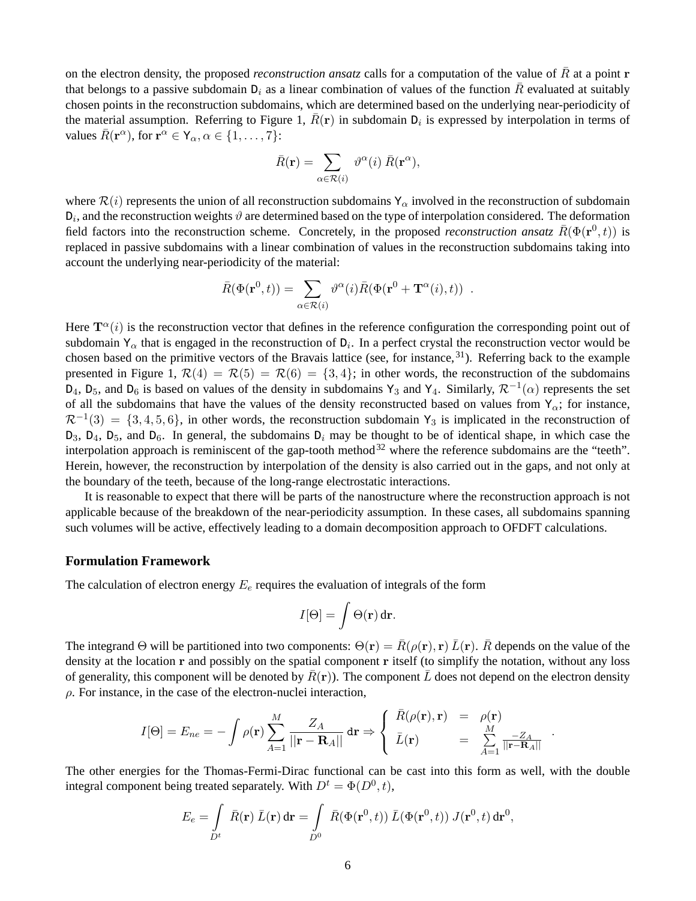on the electron density, the proposed *reconstruction ansatz* calls for a computation of the value of  $\bar{R}$  at a point **r** that belongs to a passive subdomain  $D_i$  as a linear combination of values of the function  $\bar{R}$  evaluated at suitably chosen points in the reconstruction subdomains, which are determined based on the underlying near-periodicity of the material assumption. Referring to Figure 1,  $\bar{R}(\bf{r})$  in subdomain  $D_i$  is expressed by interpolation in terms of values  $\bar{R}(\mathbf{r}^{\alpha})$ , for  $\mathbf{r}^{\alpha} \in \mathsf{Y}_{\alpha}, \alpha \in \{1, \ldots, 7\}$ :

$$
\bar{R}(\mathbf{r}) = \sum_{\alpha \in \mathcal{R}(i)} \vartheta^{\alpha}(i) \, \bar{R}(\mathbf{r}^{\alpha}),
$$

where  $\mathcal{R}(i)$  represents the union of all reconstruction subdomains  $Y_\alpha$  involved in the reconstruction of subdomain  $D_i$ , and the reconstruction weights  $\vartheta$  are determined based on the type of interpolation considered. The deformation field factors into the reconstruction scheme. Concretely, in the proposed *reconstruction ansatz*  $\bar{R}(\Phi(\mathbf{r}^0,t))$  is replaced in passive subdomains with a linear combination of values in the reconstruction subdomains taking into account the underlying near-periodicity of the material:

$$
\bar{R}(\Phi(\mathbf{r}^0, t)) = \sum_{\alpha \in \mathcal{R}(i)} \vartheta^{\alpha}(i) \bar{R}(\Phi(\mathbf{r}^0 + \mathbf{T}^{\alpha}(i), t)) .
$$

Here  $T^{\alpha}(i)$  is the reconstruction vector that defines in the reference configuration the corresponding point out of subdomain  $Y_\alpha$  that is engaged in the reconstruction of  $D_i$ . In a perfect crystal the reconstruction vector would be chosen based on the primitive vectors of the Bravais lattice (see, for instance,  $31$ ). Referring back to the example presented in Figure 1,  $\mathcal{R}(4) = \mathcal{R}(5) = \mathcal{R}(6) = \{3, 4\}$ ; in other words, the reconstruction of the subdomains  $D_4$ ,  $D_5$ , and  $D_6$  is based on values of the density in subdomains Y<sub>3</sub> and Y<sub>4</sub>. Similarly,  $\mathcal{R}^{-1}(\alpha)$  represents the set of all the subdomains that have the values of the density reconstructed based on values from  $Y_{\alpha}$ ; for instance,  $\mathcal{R}^{-1}(3) = \{3, 4, 5, 6\}$ , in other words, the reconstruction subdomain Y<sub>3</sub> is implicated in the reconstruction of  $D_3$ ,  $D_4$ ,  $D_5$ , and  $D_6$ . In general, the subdomains  $D_i$  may be thought to be of identical shape, in which case the interpolation approach is reminiscent of the gap-tooth method<sup>32</sup> where the reference subdomains are the "teeth". Herein, however, the reconstruction by interpolation of the density is also carried out in the gaps, and not only at the boundary of the teeth, because of the long-range electrostatic interactions.

It is reasonable to expect that there will be parts of the nanostructure where the reconstruction approach is not applicable because of the breakdown of the near-periodicity assumption. In these cases, all subdomains spanning such volumes will be active, effectively leading to a domain decomposition approach to OFDFT calculations.

### **Formulation Framework**

The calculation of electron energy  $E_e$  requires the evaluation of integrals of the form

$$
I[\Theta] = \int \Theta(\mathbf{r}) \, d\mathbf{r}.
$$

The integrand Θ will be partitioned into two components:  $\Theta(\mathbf{r}) = \overline{R}(\rho(\mathbf{r}), \mathbf{r}) \overline{L}(\mathbf{r})$ .  $\overline{R}$  depends on the value of the density at the location r and possibly on the spatial component r itself (to simplify the notation, without any loss of generality, this component will be denoted by  $\bar{R}(\mathbf{r})$ ). The component  $\bar{L}$  does not depend on the electron density  $\rho$ . For instance, in the case of the electron-nuclei interaction,

$$
I[\Theta] = E_{ne} = -\int \rho(\mathbf{r}) \sum_{A=1}^{M} \frac{Z_A}{||\mathbf{r} - \mathbf{R}_A||} \, d\mathbf{r} \Rightarrow \begin{cases} \bar{R}(\rho(\mathbf{r}), \mathbf{r}) & = & \rho(\mathbf{r}) \\ \bar{L}(\mathbf{r}) & = & \sum_{A=1}^{M} \frac{-Z_A}{||\mathbf{r} - \mathbf{R}_A||} \end{cases}
$$

.

The other energies for the Thomas-Fermi-Dirac functional can be cast into this form as well, with the double integral component being treated separately. With  $D^t = \Phi(D^0, t)$ ,

$$
E_e = \int\limits_{D^t} \bar{R}(\mathbf{r}) \,\bar{L}(\mathbf{r}) \,d\mathbf{r} = \int\limits_{D^0} \,\bar{R}(\Phi(\mathbf{r}^0, t)) \,\bar{L}(\Phi(\mathbf{r}^0, t)) \,J(\mathbf{r}^0, t) \,d\mathbf{r}^0,
$$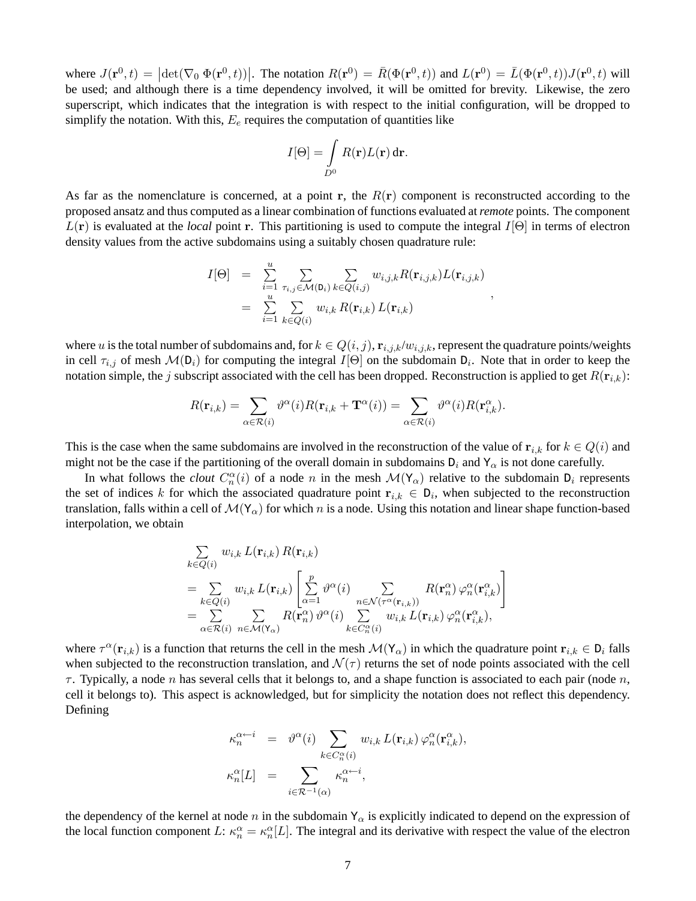where  $J(\mathbf{r}^0, t) = |\det(\nabla_0 \Phi(\mathbf{r}^0, t))|$ . The notation  $R(\mathbf{r}^0) = \overline{R}(\Phi(\mathbf{r}^0, t))$  and  $L(\mathbf{r}^0) = \overline{L}(\Phi(\mathbf{r}^0, t))J(\mathbf{r}^0, t)$  will be used; and although there is a time dependency involved, it will be omitted for brevity. Likewise, the zero superscript, which indicates that the integration is with respect to the initial configuration, will be dropped to simplify the notation. With this,  $E_e$  requires the computation of quantities like

$$
I[\Theta] = \int\limits_{D^0} R(\mathbf{r}) L(\mathbf{r}) \, \mathrm{d}\mathbf{r}.
$$

As far as the nomenclature is concerned, at a point r, the  $R(r)$  component is reconstructed according to the proposed ansatz and thus computed as a linear combination of functions evaluated at *remote* points. The component  $L(\mathbf{r})$  is evaluated at the *local* point r. This partitioning is used to compute the integral  $I[\Theta]$  in terms of electron density values from the active subdomains using a suitably chosen quadrature rule:

$$
I[\Theta] = \sum_{i=1}^{u} \sum_{\tau_{i,j} \in \mathcal{M}(D_i)} \sum_{k \in Q(i,j)} w_{i,j,k} R(\mathbf{r}_{i,j,k}) L(\mathbf{r}_{i,j,k})
$$
  
= 
$$
\sum_{i=1}^{u} \sum_{k \in Q(i)} w_{i,k} R(\mathbf{r}_{i,k}) L(\mathbf{r}_{i,k})
$$

,

where u is the total number of subdomains and, for  $k \in Q(i, j)$ ,  $\mathbf{r}_{i,j,k}/w_{i,j,k}$ , represent the quadrature points/weights in cell  $\tau_{i,j}$  of mesh  $\mathcal{M}(\mathbb{D}_i)$  for computing the integral  $I[\Theta]$  on the subdomain  $\mathbb{D}_i$ . Note that in order to keep the notation simple, the j subscript associated with the cell has been dropped. Reconstruction is applied to get  $R(\mathbf{r}_{i,k})$ :

$$
R(\mathbf{r}_{i,k}) = \sum_{\alpha \in \mathcal{R}(i)} \vartheta^{\alpha}(i) R(\mathbf{r}_{i,k} + \mathbf{T}^{\alpha}(i)) = \sum_{\alpha \in \mathcal{R}(i)} \vartheta^{\alpha}(i) R(\mathbf{r}_{i,k}^{\alpha}).
$$

This is the case when the same subdomains are involved in the reconstruction of the value of  $r_{i,k}$  for  $k \in Q(i)$  and might not be the case if the partitioning of the overall domain in subdomains  $D_i$  and  $Y_\alpha$  is not done carefully.

In what follows the *clout*  $C_n^{\alpha}(i)$  of a node n in the mesh  $\mathcal{M}(\mathbf{Y}_{\alpha})$  relative to the subdomain  $D_i$  represents the set of indices k for which the associated quadrature point  $r_{i,k} \in D_i$ , when subjected to the reconstruction translation, falls within a cell of  $\mathcal{M}(\Upsilon_{\alpha})$  for which n is a node. Using this notation and linear shape function-based interpolation, we obtain

$$
\sum_{k \in Q(i)} w_{i,k} L(\mathbf{r}_{i,k}) R(\mathbf{r}_{i,k})
$$
\n
$$
= \sum_{k \in Q(i)} w_{i,k} L(\mathbf{r}_{i,k}) \left[ \sum_{\alpha=1}^p \vartheta^{\alpha}(i) \sum_{n \in \mathcal{N}(\tau^{\alpha}(\mathbf{r}_{i,k}))} R(\mathbf{r}_{n}^{\alpha}) \varphi_n^{\alpha}(\mathbf{r}_{i,k}^{\alpha}) \right]
$$
\n
$$
= \sum_{\alpha \in \mathcal{R}(i)} \sum_{n \in \mathcal{M}(\mathbf{r}_{\alpha})} R(\mathbf{r}_{n}^{\alpha}) \vartheta^{\alpha}(i) \sum_{k \in C_{n}^{\alpha}(i)} w_{i,k} L(\mathbf{r}_{i,k}) \varphi_n^{\alpha}(\mathbf{r}_{i,k}^{\alpha}),
$$

where  $\tau^{\alpha}(\mathbf{r}_{i,k})$  is a function that returns the cell in the mesh  $\mathcal{M}(\mathbf{Y}_{\alpha})$  in which the quadrature point  $\mathbf{r}_{i,k} \in D_i$  falls when subjected to the reconstruction translation, and  $\mathcal{N}(\tau)$  returns the set of node points associated with the cell  $\tau$ . Typically, a node n has several cells that it belongs to, and a shape function is associated to each pair (node n, cell it belongs to). This aspect is acknowledged, but for simplicity the notation does not reflect this dependency. Defining

$$
\kappa_n^{\alpha \leftarrow i} = \vartheta^{\alpha}(i) \sum_{k \in C_n^{\alpha}(i)} w_{i,k} L(\mathbf{r}_{i,k}) \varphi_n^{\alpha}(\mathbf{r}_{i,k}^{\alpha}),
$$

$$
\kappa_n^{\alpha}[L] = \sum_{i \in \mathcal{R}^{-1}(\alpha)} \kappa_n^{\alpha \leftarrow i},
$$

the dependency of the kernel at node n in the subdomain  $Y_{\alpha}$  is explicitly indicated to depend on the expression of the local function component L:  $\kappa_n^{\alpha} = \kappa_n^{\alpha}[L]$ . The integral and its derivative with respect the value of the electron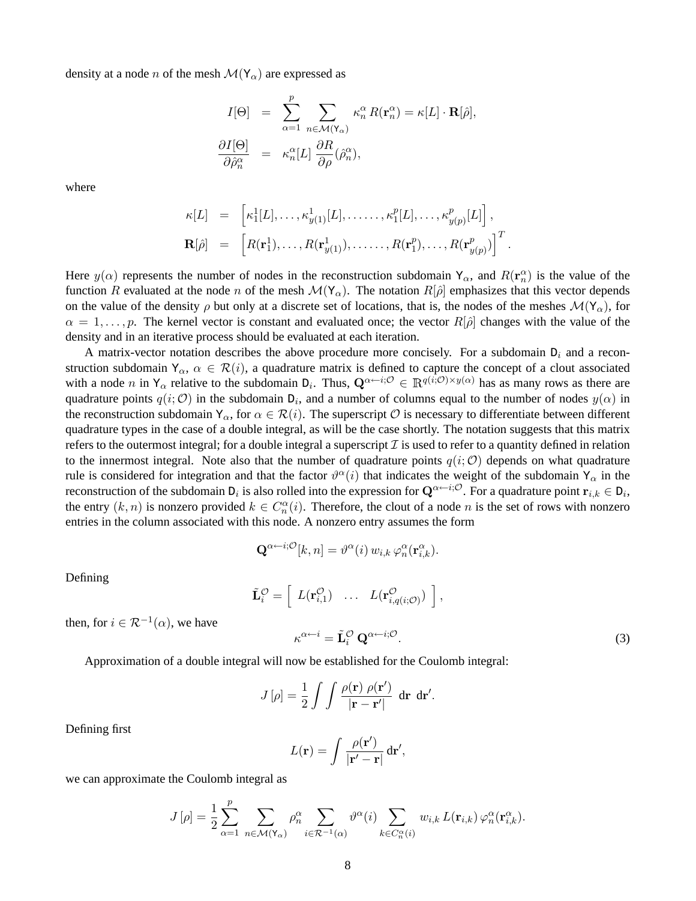density at a node n of the mesh  $\mathcal{M}(\mathbf{Y}_{\alpha})$  are expressed as

$$
I[\Theta] = \sum_{\alpha=1}^{p} \sum_{n \in \mathcal{M}(\mathbf{Y}_{\alpha})} \kappa_n^{\alpha} R(\mathbf{r}_n^{\alpha}) = \kappa[L] \cdot \mathbf{R}[\hat{\rho}],
$$
  

$$
\frac{\partial I[\Theta]}{\partial \hat{\rho}_n^{\alpha}} = \kappa_n^{\alpha}[L] \frac{\partial R}{\partial \rho}(\hat{\rho}_n^{\alpha}),
$$

where

$$
\kappa[L] = \left[ \kappa_1^1[L], \ldots, \kappa_{y(1)}^1[L], \ldots, \kappa_1^p[L], \ldots, \kappa_{y(p)}^p[L] \right],
$$
  

$$
\mathbf{R}[\hat{\rho}] = \left[ R(\mathbf{r}_1^1), \ldots, R(\mathbf{r}_{y(1)}^1), \ldots, R(\mathbf{r}_1^p), \ldots, R(\mathbf{r}_{y(p)}^p) \right]^T.
$$

Here  $y(\alpha)$  represents the number of nodes in the reconstruction subdomain  $Y_\alpha$ , and  $R(\mathbf{r}_n^{\alpha})$  is the value of the function R evaluated at the node n of the mesh  $\mathcal{M}(\Upsilon_\alpha)$ . The notation  $R[\hat{\rho}]$  emphasizes that this vector depends on the value of the density  $\rho$  but only at a discrete set of locations, that is, the nodes of the meshes  $\mathcal{M}(\mathbf{Y}_\alpha)$ , for  $\alpha = 1, \ldots, p$ . The kernel vector is constant and evaluated once; the vector  $R[\hat{\rho}]$  changes with the value of the density and in an iterative process should be evaluated at each iteration.

A matrix-vector notation describes the above procedure more concisely. For a subdomain  $D_i$  and a reconstruction subdomain  $Y_{\alpha}$ ,  $\alpha \in \mathcal{R}(i)$ , a quadrature matrix is defined to capture the concept of a clout associated with a node n in  $Y_\alpha$  relative to the subdomain  $D_i$ . Thus,  $\mathbf{Q}^{\alpha \leftarrow i; \mathcal{O}} \in \mathbb{R}^{q(i; \mathcal{O}) \times y(\alpha)}$  has as many rows as there are quadrature points  $q(i; \mathcal{O})$  in the subdomain  $D_i$ , and a number of columns equal to the number of nodes  $y(\alpha)$  in the reconstruction subdomain  $Y_{\alpha}$ , for  $\alpha \in \mathcal{R}(i)$ . The superscript  $\mathcal O$  is necessary to differentiate between different quadrature types in the case of a double integral, as will be the case shortly. The notation suggests that this matrix refers to the outermost integral; for a double integral a superscript  $\mathcal I$  is used to refer to a quantity defined in relation to the innermost integral. Note also that the number of quadrature points  $q(i; \mathcal{O})$  depends on what quadrature rule is considered for integration and that the factor  $\vartheta^{\alpha}(i)$  that indicates the weight of the subdomain  $Y_{\alpha}$  in the reconstruction of the subdomain  $D_i$  is also rolled into the expression for  ${\bf Q}^{\alpha+i;{\cal O}}.$  For a quadrature point  ${\bf r}_{i,k}\in D_i,$ the entry  $(k, n)$  is nonzero provided  $k \in C_n^{\alpha}(i)$ . Therefore, the clout of a node n is the set of rows with nonzero entries in the column associated with this node. A nonzero entry assumes the form

$$
\mathbf{Q}^{\alpha \leftarrow i; \mathcal{O}}[k, n] = \vartheta^{\alpha}(i) \, w_{i,k} \, \varphi_n^{\alpha}(\mathbf{r}_{i,k}^{\alpha}).
$$

Defining

$$
\tilde{\mathbf{L}}_i^{\mathcal{O}} = \left[ L(\mathbf{r}_{i,1}^{\mathcal{O}}) \quad \cdots \quad L(\mathbf{r}_{i,q(i;\mathcal{O})}^{\mathcal{O}}) \right],
$$

then, for  $i \in \mathcal{R}^{-1}(\alpha)$ , we have

$$
\kappa^{\alpha \leftarrow i} = \tilde{\mathbf{L}}_i^{\mathcal{O}} \, \mathbf{Q}^{\alpha \leftarrow i; \mathcal{O}}.
$$
\n<sup>(3)</sup>

Approximation of a double integral will now be established for the Coulomb integral:

$$
J[\rho] = \frac{1}{2} \int \int \frac{\rho(\mathbf{r}) \; \rho(\mathbf{r}')}{|\mathbf{r} - \mathbf{r}'|} \; \mathrm{d}\mathbf{r} \; \mathrm{d}\mathbf{r}'.
$$

Defining first

$$
L(\mathbf{r}) = \int \frac{\rho(\mathbf{r}')}{|\mathbf{r}' - \mathbf{r}|} d\mathbf{r}',
$$

we can approximate the Coulomb integral as

$$
J\left[\rho\right] = \frac{1}{2} \sum_{\alpha=1}^{p} \sum_{n \in \mathcal{M}\left(\mathbf{Y}_{\alpha}\right)} \rho_{n}^{\alpha} \sum_{i \in \mathcal{R}^{-1}\left(\alpha\right)} \vartheta^{\alpha}(i) \sum_{k \in C_{n}^{\alpha}(i)} w_{i,k} L(\mathbf{r}_{i,k}) \varphi_{n}^{\alpha}(\mathbf{r}_{i,k}^{\alpha}).
$$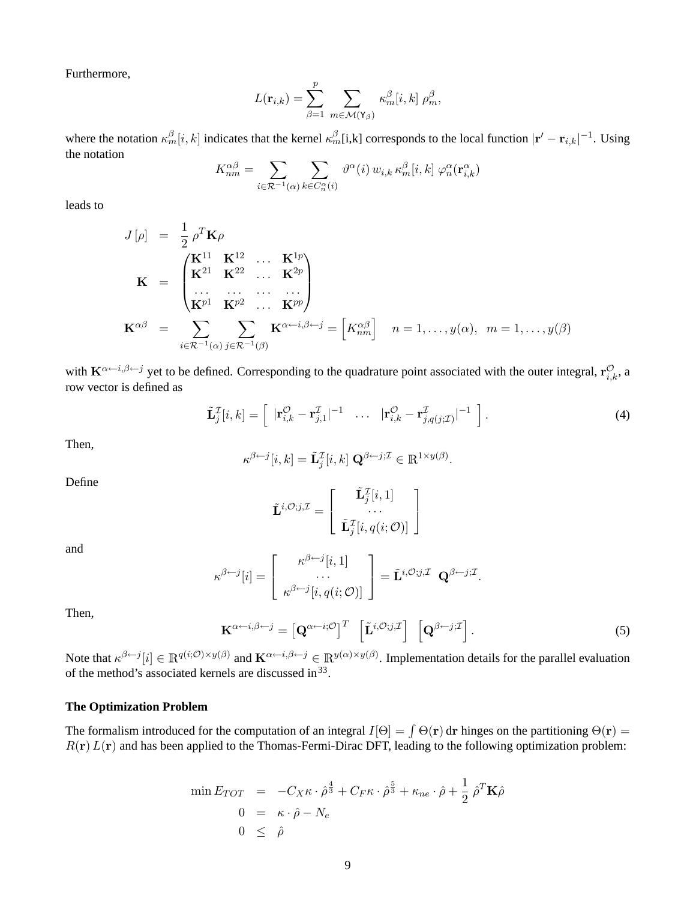Furthermore,

$$
L(\mathbf{r}_{i,k}) = \sum_{\beta=1}^p \sum_{m \in \mathcal{M}(\mathbf{Y}_{\beta})} \kappa_m^{\beta} [i,k] \rho_m^{\beta},
$$

where the notation  $\kappa_m^{\beta}[i,k]$  indicates that the kernel  $\kappa_m^{\beta}[i,k]$  corresponds to the local function  $|\mathbf{r}'-\mathbf{r}_{i,k}|^{-1}$ . Using the notation

$$
K_{nm}^{\alpha\beta} = \sum_{i \in \mathcal{R}^{-1}(\alpha)} \sum_{k \in C_n^{\alpha}(i)} \vartheta^{\alpha}(i) w_{i,k} \, \kappa_m^{\beta}[i,k] \, \varphi_n^{\alpha}(\mathbf{r}_{i,k}^{\alpha})
$$

leads to

$$
J[\rho] = \frac{1}{2} \rho^T \mathbf{K} \rho
$$
  
\n
$$
\mathbf{K} = \begin{pmatrix} \mathbf{K}^{11} & \mathbf{K}^{12} & \cdots & \mathbf{K}^{1p} \\ \mathbf{K}^{21} & \mathbf{K}^{22} & \cdots & \mathbf{K}^{2p} \\ \cdots & \cdots & \cdots & \cdots \\ \mathbf{K}^{p1} & \mathbf{K}^{p2} & \cdots & \mathbf{K}^{pp} \end{pmatrix}
$$
  
\n
$$
\mathbf{K}^{\alpha\beta} = \sum_{i \in \mathcal{R}^{-1}(\alpha)} \sum_{j \in \mathcal{R}^{-1}(\beta)} \mathbf{K}^{\alpha \leftarrow i, \beta \leftarrow j} = \begin{bmatrix} K_{nm}^{\alpha\beta} \end{bmatrix} \quad n = 1, \ldots, y(\alpha), \quad m = 1, \ldots, y(\beta)
$$

with  $K^{\alpha \leftarrow i,\beta \leftarrow j}$  yet to be defined. Corresponding to the quadrature point associated with the outer integral,  $r_{i,k}^{\mathcal{O}}$ , a row vector is defined as

$$
\tilde{\mathbf{L}}_j^{\mathcal{I}}[i,k] = \left[ \begin{array}{ccc} |\mathbf{r}_{i,k}^{\mathcal{O}} - \mathbf{r}_{j,1}^{\mathcal{I}}|^{-1} & \dots & |\mathbf{r}_{i,k}^{\mathcal{O}} - \mathbf{r}_{j,q(j;\mathcal{I})}^{\mathcal{I}}|^{-1} \end{array} \right]. \tag{4}
$$

Then,

$$
\kappa^{\beta \leftarrow j}[i,k] = \tilde{\mathbf{L}}_j^{\mathcal{I}}[i,k] \; \mathbf{Q}^{\beta \leftarrow j;\mathcal{I}} \in \mathbb{R}^{1 \times y(\beta)}.
$$

Define

$$
\tilde{\mathbf{L}}^{i,\mathcal{O};j,\mathcal{I}} = \left[ \begin{array}{c} \tilde{\mathbf{L}}^{\mathcal{I}}_j[i,1] \\ \cdots \\ \tilde{\mathbf{L}}^{\mathcal{I}}_j[i,q(i;\mathcal{O})] \end{array} \right]
$$

and

$$
\kappa^{\beta \leftarrow j}[i] = \begin{bmatrix} \kappa^{\beta \leftarrow j}[i,1] \\ \cdots \\ \kappa^{\beta \leftarrow j}[i,q(i; \mathcal{O})] \end{bmatrix} = \tilde{\mathbf{L}}^{i,\mathcal{O};j,\mathcal{I}} \mathbf{Q}^{\beta \leftarrow j,\mathcal{I}}.
$$

Then,

$$
\mathbf{K}^{\alpha \leftarrow i,\beta \leftarrow j} = \begin{bmatrix} \mathbf{Q}^{\alpha \leftarrow i;\mathcal{O}} \end{bmatrix}^T \begin{bmatrix} \tilde{\mathbf{L}}^{i,\mathcal{O};j,\mathcal{I}} \end{bmatrix} \begin{bmatrix} \mathbf{Q}^{\beta \leftarrow j;\mathcal{I}} \end{bmatrix}.
$$
 (5)

Note that  $\kappa^{\beta \leftarrow j}[i] \in \mathbb{R}^{q(i; \mathcal{O}) \times y(\beta)}$  and  $\mathbf{K}^{\alpha \leftarrow i, \beta \leftarrow j} \in \mathbb{R}^{y(\alpha) \times y(\beta)}$ . Implementation details for the parallel evaluation of the method's associated kernels are discussed in  $33$ .

#### **The Optimization Problem**

The formalism introduced for the computation of an integral  $I[\Theta] = \int \Theta(\mathbf{r}) d\mathbf{r}$  hinges on the partitioning  $\Theta(\mathbf{r}) =$  $R(r) L(r)$  and has been applied to the Thomas-Fermi-Dirac DFT, leading to the following optimization problem:

$$
\min E_{TOT} = -C_X \kappa \cdot \hat{\rho}^{\frac{4}{3}} + C_F \kappa \cdot \hat{\rho}^{\frac{5}{3}} + \kappa_{ne} \cdot \hat{\rho} + \frac{1}{2} \hat{\rho}^T \mathbf{K} \hat{\rho}
$$
  

$$
0 = \kappa \cdot \hat{\rho} - N_e
$$
  

$$
0 \leq \hat{\rho}
$$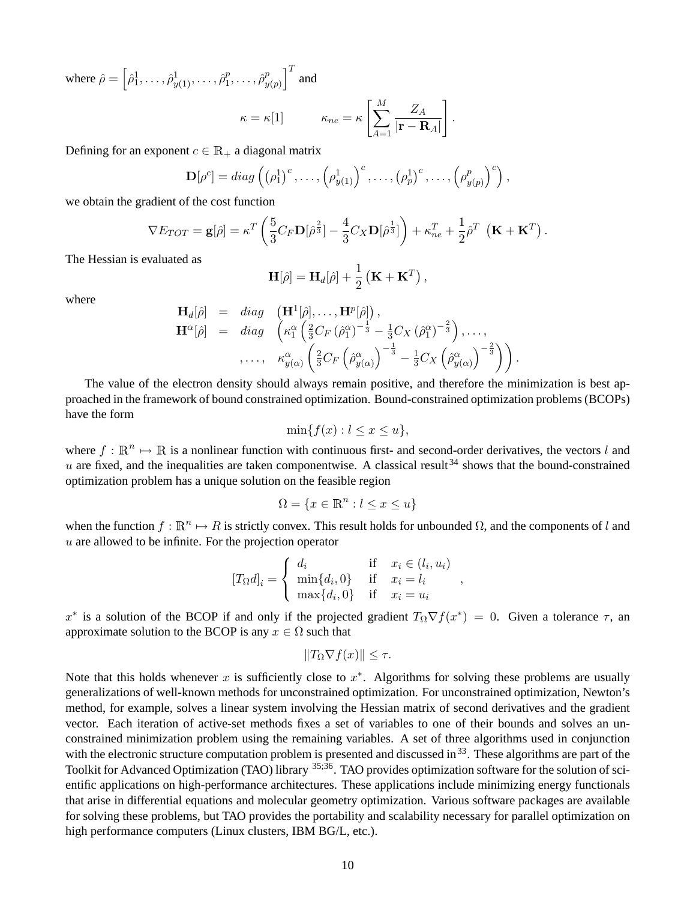where  $\hat{\rho} = \left[ \hat{\rho}_1^1, \dots, \hat{\rho}_{y(1)}^1, \dots, \hat{\rho}_1^p \right]$  $\hat{\rho}^p_1, \ldots, \hat{\rho}^p_y$  $\begin{bmatrix} p \\ y(p) \end{bmatrix}^T$  and

$$
\kappa = \kappa[1] \qquad \qquad \kappa_{ne} = \kappa \left[ \sum_{A=1}^{M} \frac{Z_A}{|\mathbf{r} - \mathbf{R}_A|} \right].
$$

Defining for an exponent  $c \in \mathbb{R}_+$  a diagonal matrix

$$
\mathbf{D}[\rho^c] = diag\left(\left(\rho_1^1\right)^c, \ldots, \left(\rho_{y(1)}^1\right)^c, \ldots, \left(\rho_p^1\right)^c, \ldots, \left(\rho_{y(p)}^p\right)^c\right),
$$

we obtain the gradient of the cost function

$$
\nabla E_{TOT} = \mathbf{g}[\hat{\rho}] = \kappa^T \left( \frac{5}{3} C_F \mathbf{D}[\hat{\rho}^{\frac{2}{3}}] - \frac{4}{3} C_X \mathbf{D}[\hat{\rho}^{\frac{1}{3}}] \right) + \kappa_{ne}^T + \frac{1}{2} \hat{\rho}^T \left( \mathbf{K} + \mathbf{K}^T \right).
$$

The Hessian is evaluated as

$$
\mathbf{H}[\hat{\rho}] = \mathbf{H}_d[\hat{\rho}] + \frac{1}{2} (\mathbf{K} + \mathbf{K}^T) ,
$$

where

$$
\mathbf{H}_{d}[\hat{\rho}] = diag \left( \mathbf{H}^{1}[\hat{\rho}], \ldots, \mathbf{H}^{p}[\hat{\rho}] \right), \n\mathbf{H}^{\alpha}[\hat{\rho}] = diag \left( \kappa_{1}^{\alpha} \left( \frac{2}{3} C_{F} \left( \hat{\rho}_{1}^{\alpha} \right)^{-\frac{1}{3}} - \frac{1}{3} C_{X} \left( \hat{\rho}_{1}^{\alpha} \right)^{-\frac{2}{3}} \right), \ldots, \n\ldots, \quad \kappa_{y(\alpha)}^{\alpha} \left( \frac{2}{3} C_{F} \left( \hat{\rho}_{y(\alpha)}^{\alpha} \right)^{-\frac{1}{3}} - \frac{1}{3} C_{X} \left( \hat{\rho}_{y(\alpha)}^{\alpha} \right)^{-\frac{2}{3}} \right) \right).
$$

The value of the electron density should always remain positive, and therefore the minimization is best approached in the framework of bound constrained optimization. Bound-constrained optimization problems (BCOPs) have the form

$$
\min\{f(x) : l \le x \le u\},\
$$

where  $f : \mathbb{R}^n \mapsto \mathbb{R}$  is a nonlinear function with continuous first- and second-order derivatives, the vectors l and  $u$  are fixed, and the inequalities are taken componentwise. A classical result<sup>34</sup> shows that the bound-constrained optimization problem has a unique solution on the feasible region

$$
\Omega = \{ x \in \mathbb{R}^n : l \le x \le u \}
$$

when the function  $f : \mathbb{R}^n \to R$  is strictly convex. This result holds for unbounded  $\Omega$ , and the components of l and  $u$  are allowed to be infinite. For the projection operator

$$
[T_{\Omega}d]_i = \begin{cases} d_i & \text{if } x_i \in (l_i, u_i) \\ \min\{d_i, 0\} & \text{if } x_i = l_i \\ \max\{d_i, 0\} & \text{if } x_i = u_i \end{cases}
$$

,

x<sup>\*</sup> is a solution of the BCOP if and only if the projected gradient  $T_{\Omega} \nabla f(x^*) = 0$ . Given a tolerance  $\tau$ , an approximate solution to the BCOP is any  $x \in \Omega$  such that

$$
||T_{\Omega}\nabla f(x)|| \leq \tau.
$$

Note that this holds whenever x is sufficiently close to  $x^*$ . Algorithms for solving these problems are usually generalizations of well-known methods for unconstrained optimization. For unconstrained optimization, Newton's method, for example, solves a linear system involving the Hessian matrix of second derivatives and the gradient vector. Each iteration of active-set methods fixes a set of variables to one of their bounds and solves an unconstrained minimization problem using the remaining variables. A set of three algorithms used in conjunction with the electronic structure computation problem is presented and discussed in  $33$ . These algorithms are part of the Toolkit for Advanced Optimization (TAO) library <sup>35;36</sup>. TAO provides optimization software for the solution of scientific applications on high-performance architectures. These applications include minimizing energy functionals that arise in differential equations and molecular geometry optimization. Various software packages are available for solving these problems, but TAO provides the portability and scalability necessary for parallel optimization on high performance computers (Linux clusters, IBM BG/L, etc.).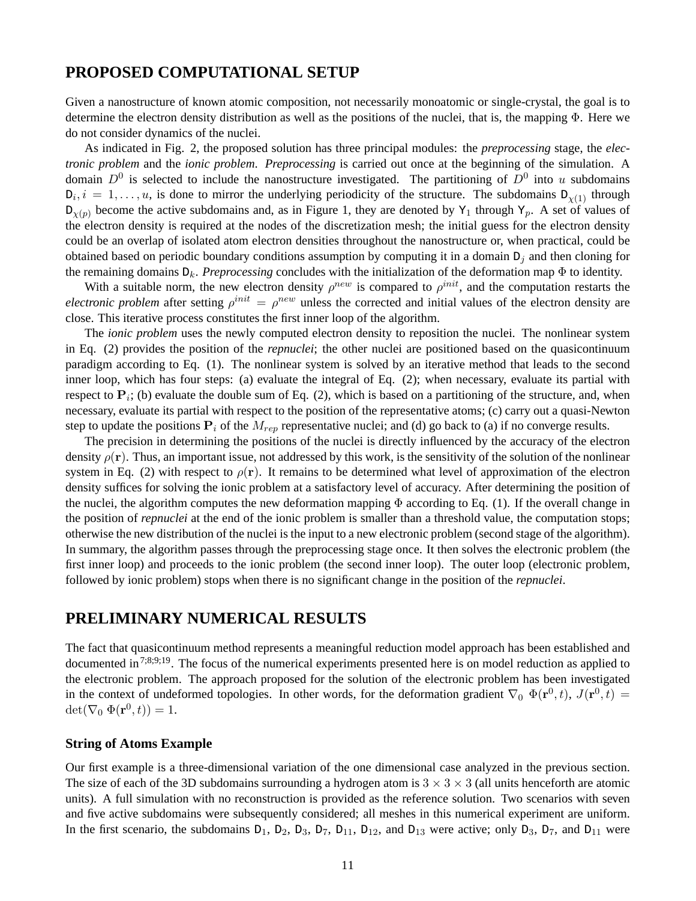## **PROPOSED COMPUTATIONAL SETUP**

Given a nanostructure of known atomic composition, not necessarily monoatomic or single-crystal, the goal is to determine the electron density distribution as well as the positions of the nuclei, that is, the mapping Φ. Here we do not consider dynamics of the nuclei.

As indicated in Fig. 2, the proposed solution has three principal modules: the *preprocessing* stage, the *electronic problem* and the *ionic problem*. *Preprocessing* is carried out once at the beginning of the simulation. A domain  $D^0$  is selected to include the nanostructure investigated. The partitioning of  $D^0$  into u subdomains  $D_i, i = 1, \ldots, u$ , is done to mirror the underlying periodicity of the structure. The subdomains  $D_{\chi(1)}$  through  $D_{\gamma(p)}$  become the active subdomains and, as in Figure 1, they are denoted by Y<sub>1</sub> through Y<sub>p</sub>. A set of values of the electron density is required at the nodes of the discretization mesh; the initial guess for the electron density could be an overlap of isolated atom electron densities throughout the nanostructure or, when practical, could be obtained based on periodic boundary conditions assumption by computing it in a domain  $D_i$  and then cloning for the remaining domains  $D_k$ . *Preprocessing* concludes with the initialization of the deformation map  $\Phi$  to identity.

With a suitable norm, the new electron density  $\rho^{new}$  is compared to  $\rho^{init}$ , and the computation restarts the *electronic problem* after setting  $\rho^{init} = \rho^{new}$  unless the corrected and initial values of the electron density are close. This iterative process constitutes the first inner loop of the algorithm.

The *ionic problem* uses the newly computed electron density to reposition the nuclei. The nonlinear system in Eq. (2) provides the position of the *repnuclei*; the other nuclei are positioned based on the quasicontinuum paradigm according to Eq. (1). The nonlinear system is solved by an iterative method that leads to the second inner loop, which has four steps: (a) evaluate the integral of Eq. (2); when necessary, evaluate its partial with respect to  $P_i$ ; (b) evaluate the double sum of Eq. (2), which is based on a partitioning of the structure, and, when necessary, evaluate its partial with respect to the position of the representative atoms; (c) carry out a quasi-Newton step to update the positions  $P_i$  of the  $M_{rep}$  representative nuclei; and (d) go back to (a) if no converge results.

The precision in determining the positions of the nuclei is directly influenced by the accuracy of the electron density  $\rho(\mathbf{r})$ . Thus, an important issue, not addressed by this work, is the sensitivity of the solution of the nonlinear system in Eq. (2) with respect to  $\rho(\mathbf{r})$ . It remains to be determined what level of approximation of the electron density suffices for solving the ionic problem at a satisfactory level of accuracy. After determining the position of the nuclei, the algorithm computes the new deformation mapping  $\Phi$  according to Eq. (1). If the overall change in the position of *repnuclei* at the end of the ionic problem is smaller than a threshold value, the computation stops; otherwise the new distribution of the nuclei is the input to a new electronic problem (second stage of the algorithm). In summary, the algorithm passes through the preprocessing stage once. It then solves the electronic problem (the first inner loop) and proceeds to the ionic problem (the second inner loop). The outer loop (electronic problem, followed by ionic problem) stops when there is no significant change in the position of the *repnuclei*.

# **PRELIMINARY NUMERICAL RESULTS**

The fact that quasicontinuum method represents a meaningful reduction model approach has been established and documented in  $7;8;9;19$ . The focus of the numerical experiments presented here is on model reduction as applied to the electronic problem. The approach proposed for the solution of the electronic problem has been investigated in the context of undeformed topologies. In other words, for the deformation gradient  $\nabla_0 \Phi(\mathbf{r}^0, t)$ ,  $J(\mathbf{r}^0, t)$  =  $\det(\nabla_0 \ \Phi(\mathbf{r}^0, t)) = 1.$ 

#### **String of Atoms Example**

Our first example is a three-dimensional variation of the one dimensional case analyzed in the previous section. The size of each of the 3D subdomains surrounding a hydrogen atom is  $3 \times 3 \times 3$  (all units henceforth are atomic units). A full simulation with no reconstruction is provided as the reference solution. Two scenarios with seven and five active subdomains were subsequently considered; all meshes in this numerical experiment are uniform. In the first scenario, the subdomains  $D_1$ ,  $D_2$ ,  $D_3$ ,  $D_7$ ,  $D_{11}$ ,  $D_{12}$ , and  $D_{13}$  were active; only  $D_3$ ,  $D_7$ , and  $D_{11}$  were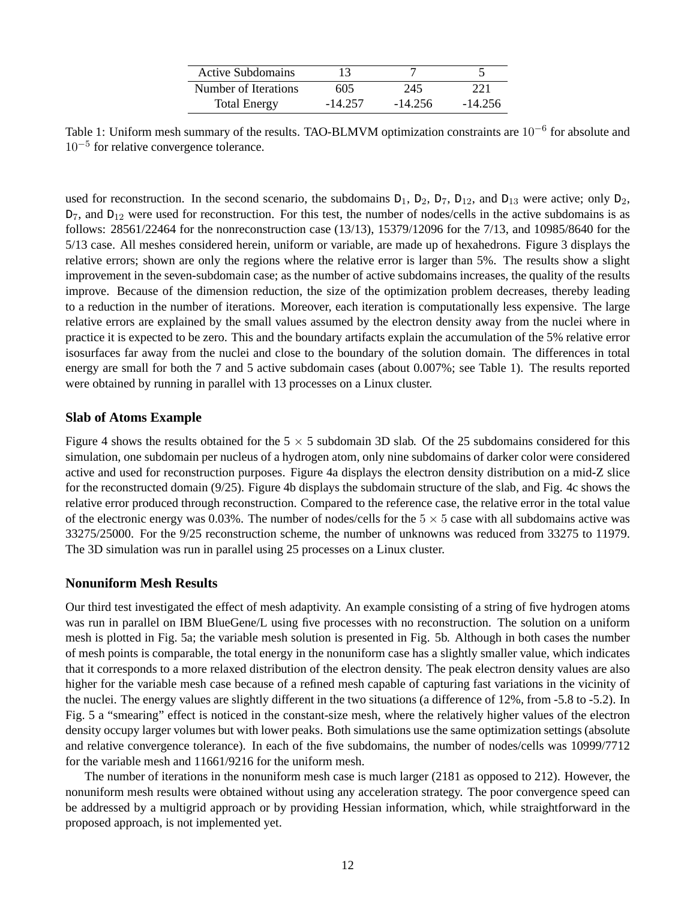| Active Subdomains    |           |           |           |
|----------------------|-----------|-----------|-----------|
| Number of Iterations | 605       | 245       | 221       |
| <b>Total Energy</b>  | $-14.257$ | $-14.256$ | $-14.256$ |

Table 1: Uniform mesh summary of the results. TAO-BLMVM optimization constraints are  $10^{-6}$  for absolute and 10−<sup>5</sup> for relative convergence tolerance.

used for reconstruction. In the second scenario, the subdomains  $D_1$ ,  $D_2$ ,  $D_7$ ,  $D_{12}$ , and  $D_{13}$  were active; only  $D_2$ ,  $D_7$ , and  $D_{12}$  were used for reconstruction. For this test, the number of nodes/cells in the active subdomains is as follows: 28561/22464 for the nonreconstruction case (13/13), 15379/12096 for the 7/13, and 10985/8640 for the 5/13 case. All meshes considered herein, uniform or variable, are made up of hexahedrons. Figure 3 displays the relative errors; shown are only the regions where the relative error is larger than 5%. The results show a slight improvement in the seven-subdomain case; as the number of active subdomains increases, the quality of the results improve. Because of the dimension reduction, the size of the optimization problem decreases, thereby leading to a reduction in the number of iterations. Moreover, each iteration is computationally less expensive. The large relative errors are explained by the small values assumed by the electron density away from the nuclei where in practice it is expected to be zero. This and the boundary artifacts explain the accumulation of the 5% relative error isosurfaces far away from the nuclei and close to the boundary of the solution domain. The differences in total energy are small for both the 7 and 5 active subdomain cases (about 0.007%; see Table 1). The results reported were obtained by running in parallel with 13 processes on a Linux cluster.

#### **Slab of Atoms Example**

Figure 4 shows the results obtained for the  $5 \times 5$  subdomain 3D slab. Of the 25 subdomains considered for this simulation, one subdomain per nucleus of a hydrogen atom, only nine subdomains of darker color were considered active and used for reconstruction purposes. Figure 4a displays the electron density distribution on a mid-Z slice for the reconstructed domain (9/25). Figure 4b displays the subdomain structure of the slab, and Fig. 4c shows the relative error produced through reconstruction. Compared to the reference case, the relative error in the total value of the electronic energy was 0.03%. The number of nodes/cells for the  $5 \times 5$  case with all subdomains active was 33275/25000. For the 9/25 reconstruction scheme, the number of unknowns was reduced from 33275 to 11979. The 3D simulation was run in parallel using 25 processes on a Linux cluster.

#### **Nonuniform Mesh Results**

Our third test investigated the effect of mesh adaptivity. An example consisting of a string of five hydrogen atoms was run in parallel on IBM BlueGene/L using five processes with no reconstruction. The solution on a uniform mesh is plotted in Fig. 5a; the variable mesh solution is presented in Fig. 5b. Although in both cases the number of mesh points is comparable, the total energy in the nonuniform case has a slightly smaller value, which indicates that it corresponds to a more relaxed distribution of the electron density. The peak electron density values are also higher for the variable mesh case because of a refined mesh capable of capturing fast variations in the vicinity of the nuclei. The energy values are slightly different in the two situations (a difference of 12%, from -5.8 to -5.2). In Fig. 5 a "smearing" effect is noticed in the constant-size mesh, where the relatively higher values of the electron density occupy larger volumes but with lower peaks. Both simulations use the same optimization settings (absolute and relative convergence tolerance). In each of the five subdomains, the number of nodes/cells was 10999/7712 for the variable mesh and 11661/9216 for the uniform mesh.

The number of iterations in the nonuniform mesh case is much larger (2181 as opposed to 212). However, the nonuniform mesh results were obtained without using any acceleration strategy. The poor convergence speed can be addressed by a multigrid approach or by providing Hessian information, which, while straightforward in the proposed approach, is not implemented yet.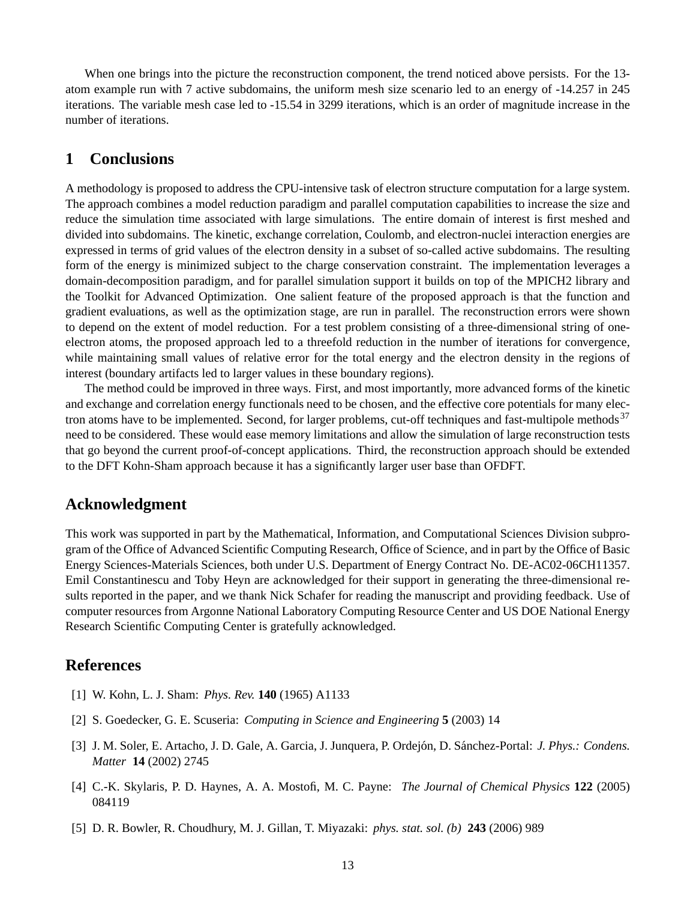When one brings into the picture the reconstruction component, the trend noticed above persists. For the 13 atom example run with 7 active subdomains, the uniform mesh size scenario led to an energy of -14.257 in 245 iterations. The variable mesh case led to -15.54 in 3299 iterations, which is an order of magnitude increase in the number of iterations.

# **1 Conclusions**

A methodology is proposed to address the CPU-intensive task of electron structure computation for a large system. The approach combines a model reduction paradigm and parallel computation capabilities to increase the size and reduce the simulation time associated with large simulations. The entire domain of interest is first meshed and divided into subdomains. The kinetic, exchange correlation, Coulomb, and electron-nuclei interaction energies are expressed in terms of grid values of the electron density in a subset of so-called active subdomains. The resulting form of the energy is minimized subject to the charge conservation constraint. The implementation leverages a domain-decomposition paradigm, and for parallel simulation support it builds on top of the MPICH2 library and the Toolkit for Advanced Optimization. One salient feature of the proposed approach is that the function and gradient evaluations, as well as the optimization stage, are run in parallel. The reconstruction errors were shown to depend on the extent of model reduction. For a test problem consisting of a three-dimensional string of oneelectron atoms, the proposed approach led to a threefold reduction in the number of iterations for convergence, while maintaining small values of relative error for the total energy and the electron density in the regions of interest (boundary artifacts led to larger values in these boundary regions).

The method could be improved in three ways. First, and most importantly, more advanced forms of the kinetic and exchange and correlation energy functionals need to be chosen, and the effective core potentials for many electron atoms have to be implemented. Second, for larger problems, cut-off techniques and fast-multipole methods<sup>37</sup> need to be considered. These would ease memory limitations and allow the simulation of large reconstruction tests that go beyond the current proof-of-concept applications. Third, the reconstruction approach should be extended to the DFT Kohn-Sham approach because it has a significantly larger user base than OFDFT.

# **Acknowledgment**

This work was supported in part by the Mathematical, Information, and Computational Sciences Division subprogram of the Office of Advanced Scientific Computing Research, Office of Science, and in part by the Office of Basic Energy Sciences-Materials Sciences, both under U.S. Department of Energy Contract No. DE-AC02-06CH11357. Emil Constantinescu and Toby Heyn are acknowledged for their support in generating the three-dimensional results reported in the paper, and we thank Nick Schafer for reading the manuscript and providing feedback. Use of computer resources from Argonne National Laboratory Computing Resource Center and US DOE National Energy Research Scientific Computing Center is gratefully acknowledged.

### **References**

- [1] W. Kohn, L. J. Sham: *Phys. Rev.* **140** (1965) A1133
- [2] S. Goedecker, G. E. Scuseria: *Computing in Science and Engineering* **5** (2003) 14
- [3] J. M. Soler, E. Artacho, J. D. Gale, A. Garcia, J. Junquera, P. Ordejón, D. Sánchez-Portal: *J. Phys.: Condens. Matter* **14** (2002) 2745
- [4] C.-K. Skylaris, P. D. Haynes, A. A. Mostofi, M. C. Payne: *The Journal of Chemical Physics* **122** (2005) 084119
- [5] D. R. Bowler, R. Choudhury, M. J. Gillan, T. Miyazaki: *phys. stat. sol. (b)* **243** (2006) 989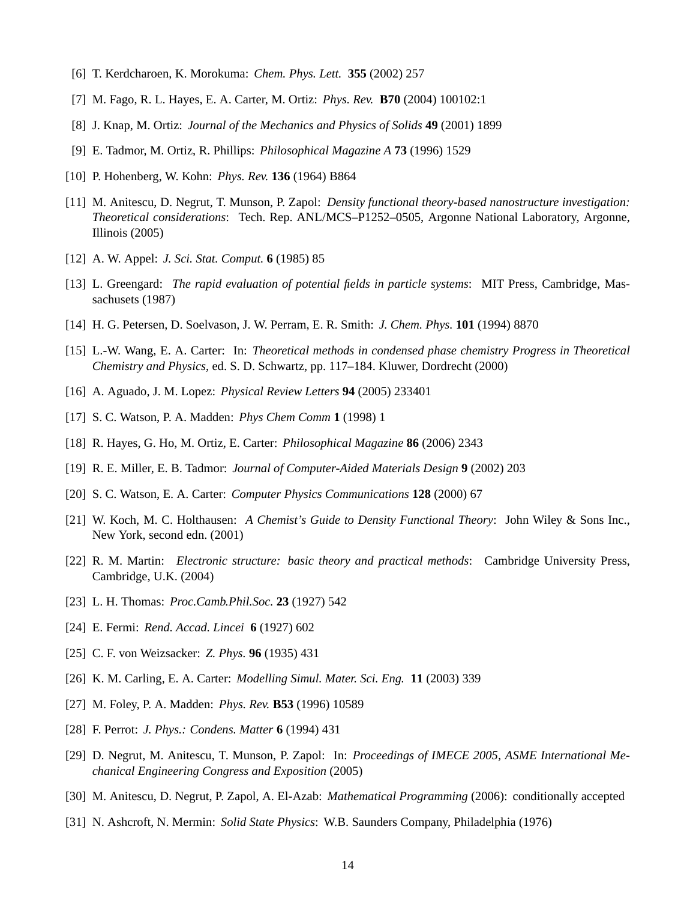- [6] T. Kerdcharoen, K. Morokuma: *Chem. Phys. Lett.* **355** (2002) 257
- [7] M. Fago, R. L. Hayes, E. A. Carter, M. Ortiz: *Phys. Rev.* **B70** (2004) 100102:1
- [8] J. Knap, M. Ortiz: *Journal of the Mechanics and Physics of Solids* **49** (2001) 1899
- [9] E. Tadmor, M. Ortiz, R. Phillips: *Philosophical Magazine A* **73** (1996) 1529
- [10] P. Hohenberg, W. Kohn: *Phys. Rev.* **136** (1964) B864
- [11] M. Anitescu, D. Negrut, T. Munson, P. Zapol: *Density functional theory-based nanostructure investigation: Theoretical considerations*: Tech. Rep. ANL/MCS–P1252–0505, Argonne National Laboratory, Argonne, Illinois (2005)
- [12] A. W. Appel: *J. Sci. Stat. Comput.* **6** (1985) 85
- [13] L. Greengard: *The rapid evaluation of potential fields in particle systems*: MIT Press, Cambridge, Massachusets (1987)
- [14] H. G. Petersen, D. Soelvason, J. W. Perram, E. R. Smith: *J. Chem. Phys.* **101** (1994) 8870
- [15] L.-W. Wang, E. A. Carter: In: *Theoretical methods in condensed phase chemistry Progress in Theoretical Chemistry and Physics*, ed. S. D. Schwartz, pp. 117–184. Kluwer, Dordrecht (2000)
- [16] A. Aguado, J. M. Lopez: *Physical Review Letters* **94** (2005) 233401
- [17] S. C. Watson, P. A. Madden: *Phys Chem Comm* **1** (1998) 1
- [18] R. Hayes, G. Ho, M. Ortiz, E. Carter: *Philosophical Magazine* **86** (2006) 2343
- [19] R. E. Miller, E. B. Tadmor: *Journal of Computer-Aided Materials Design* **9** (2002) 203
- [20] S. C. Watson, E. A. Carter: *Computer Physics Communications* **128** (2000) 67
- [21] W. Koch, M. C. Holthausen: *A Chemist's Guide to Density Functional Theory*: John Wiley & Sons Inc., New York, second edn. (2001)
- [22] R. M. Martin: *Electronic structure: basic theory and practical methods*: Cambridge University Press, Cambridge, U.K. (2004)
- [23] L. H. Thomas: *Proc.Camb.Phil.Soc.* **23** (1927) 542
- [24] E. Fermi: *Rend. Accad. Lincei* **6** (1927) 602
- [25] C. F. von Weizsacker: *Z. Phys.* **96** (1935) 431
- [26] K. M. Carling, E. A. Carter: *Modelling Simul. Mater. Sci. Eng.* **11** (2003) 339
- [27] M. Foley, P. A. Madden: *Phys. Rev.* **B53** (1996) 10589
- [28] F. Perrot: *J. Phys.: Condens. Matter* **6** (1994) 431
- [29] D. Negrut, M. Anitescu, T. Munson, P. Zapol: In: *Proceedings of IMECE 2005, ASME International Mechanical Engineering Congress and Exposition* (2005)
- [30] M. Anitescu, D. Negrut, P. Zapol, A. El-Azab: *Mathematical Programming* (2006): conditionally accepted
- [31] N. Ashcroft, N. Mermin: *Solid State Physics*: W.B. Saunders Company, Philadelphia (1976)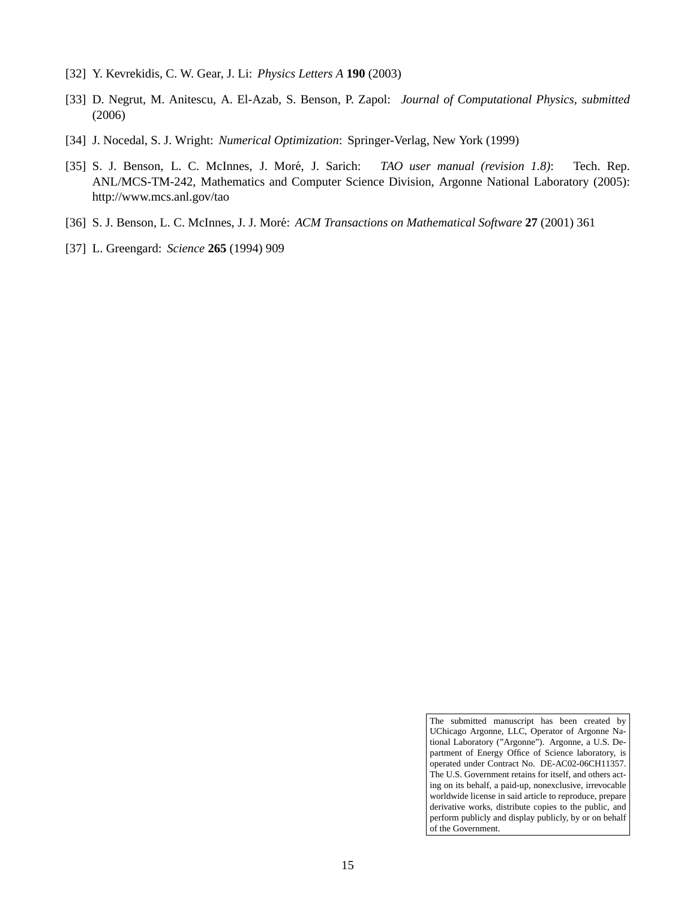- [32] Y. Kevrekidis, C. W. Gear, J. Li: *Physics Letters A* **190** (2003)
- [33] D. Negrut, M. Anitescu, A. El-Azab, S. Benson, P. Zapol: *Journal of Computational Physics, submitted* (2006)
- [34] J. Nocedal, S. J. Wright: *Numerical Optimization*: Springer-Verlag, New York (1999)
- [35] S. J. Benson, L. C. McInnes, J. More, J. Sarich: ´ *TAO user manual (revision 1.8)*: Tech. Rep. ANL/MCS-TM-242, Mathematics and Computer Science Division, Argonne National Laboratory (2005): http://www.mcs.anl.gov/tao
- [36] S. J. Benson, L. C. McInnes, J. J. Moré: *ACM Transactions on Mathematical Software* 27 (2001) 361
- [37] L. Greengard: *Science* **265** (1994) 909

The submitted manuscript has been created by UChicago Argonne, LLC, Operator of Argonne National Laboratory ("Argonne"). Argonne, a U.S. Department of Energy Office of Science laboratory, is operated under Contract No. DE-AC02-06CH11357. The U.S. Government retains for itself, and others acting on its behalf, a paid-up, nonexclusive, irrevocable worldwide license in said article to reproduce, prepare derivative works, distribute copies to the public, and perform publicly and display publicly, by or on behalf of the Government.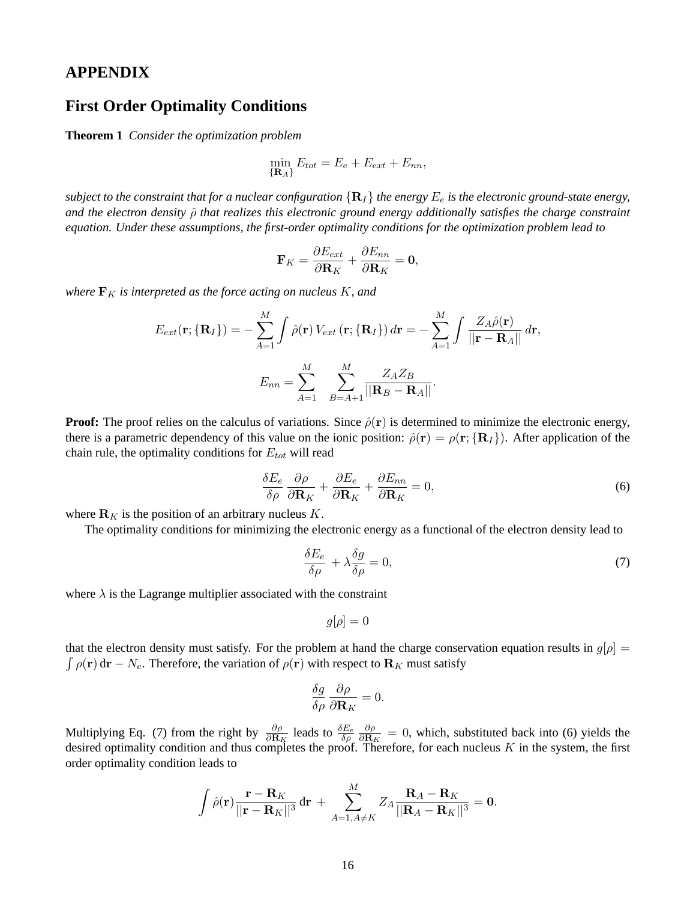### **APPENDIX**

## **First Order Optimality Conditions**

**Theorem 1** *Consider the optimization problem*

$$
\min_{\{\mathbf{R}_A\}} E_{tot} = E_e + E_{ext} + E_{nn},
$$

*subject to the constraint that for a nuclear configuration*  $\{R_I\}$  *the energy*  $E_e$  *is the electronic ground-state energy, and the electron density* ρˆ *that realizes this electronic ground energy additionally satisfies the charge constraint equation. Under these assumptions, the first-order optimality conditions for the optimization problem lead to*

$$
\mathbf{F}_K = \frac{\partial E_{ext}}{\partial \mathbf{R}_K} + \frac{\partial E_{nn}}{\partial \mathbf{R}_K} = \mathbf{0},
$$

*where*  $\mathbf{F}_K$  *is interpreted as the force acting on nucleus*  $K$ *, and* 

$$
E_{ext}(\mathbf{r}; \{\mathbf{R}_I\}) = -\sum_{A=1}^M \int \hat{\rho}(\mathbf{r}) V_{ext}(\mathbf{r}; \{\mathbf{R}_I\}) d\mathbf{r} = -\sum_{A=1}^M \int \frac{Z_A \hat{\rho}(\mathbf{r})}{||\mathbf{r} - \mathbf{R}_A||} d\mathbf{r},
$$

$$
E_{nn} = \sum_{A=1}^M \sum_{B=A+1}^M \frac{Z_A Z_B}{||\mathbf{R}_B - \mathbf{R}_A||}.
$$

**Proof:** The proof relies on the calculus of variations. Since  $\hat{\rho}(\mathbf{r})$  is determined to minimize the electronic energy, there is a parametric dependency of this value on the ionic position:  $\hat{\rho}(\mathbf{r}) = \rho(\mathbf{r}; {\mathbf{R}_I})$ . After application of the chain rule, the optimality conditions for  $E_{tot}$  will read

$$
\frac{\delta E_e}{\delta \rho} \frac{\partial \rho}{\partial \mathbf{R}_K} + \frac{\partial E_e}{\partial \mathbf{R}_K} + \frac{\partial E_{nn}}{\partial \mathbf{R}_K} = 0, \tag{6}
$$

where  $\mathbf{R}_K$  is the position of an arbitrary nucleus K.

The optimality conditions for minimizing the electronic energy as a functional of the electron density lead to

$$
\frac{\delta E_e}{\delta \rho} + \lambda \frac{\delta g}{\delta \rho} = 0,\tag{7}
$$

where  $\lambda$  is the Lagrange multiplier associated with the constraint

$$
g[\rho]=0
$$

that the electron density must satisfy. For the problem at hand the charge conservation equation results in  $g[\rho] =$  $\int \rho(\mathbf{r}) d\mathbf{r} - N_e$ . Therefore, the variation of  $\rho(\mathbf{r})$  with respect to  $\mathbf{R}_K$  must satisfy

$$
\frac{\delta g}{\delta \rho} \frac{\partial \rho}{\partial \mathbf{R}_K} = 0.
$$

Multiplying Eq. (7) from the right by  $\frac{\partial \rho}{\partial \mathbf{R}_K}$  leads to  $\frac{\delta E_e}{\delta \rho}$  $\frac{\partial \rho}{\partial \mathbf{R}_K} = 0$ , which, substituted back into (6) yields the desired optimality condition and thus completes the proof. Therefore, for each nucleus  $K$  in the system, the first order optimality condition leads to

$$
\int \hat{\rho}(\mathbf{r}) \frac{\mathbf{r} - \mathbf{R}_K}{||\mathbf{r} - \mathbf{R}_K||^3} d\mathbf{r} + \sum_{A=1, A \neq K}^{M} Z_A \frac{\mathbf{R}_A - \mathbf{R}_K}{||\mathbf{R}_A - \mathbf{R}_K||^3} = \mathbf{0}.
$$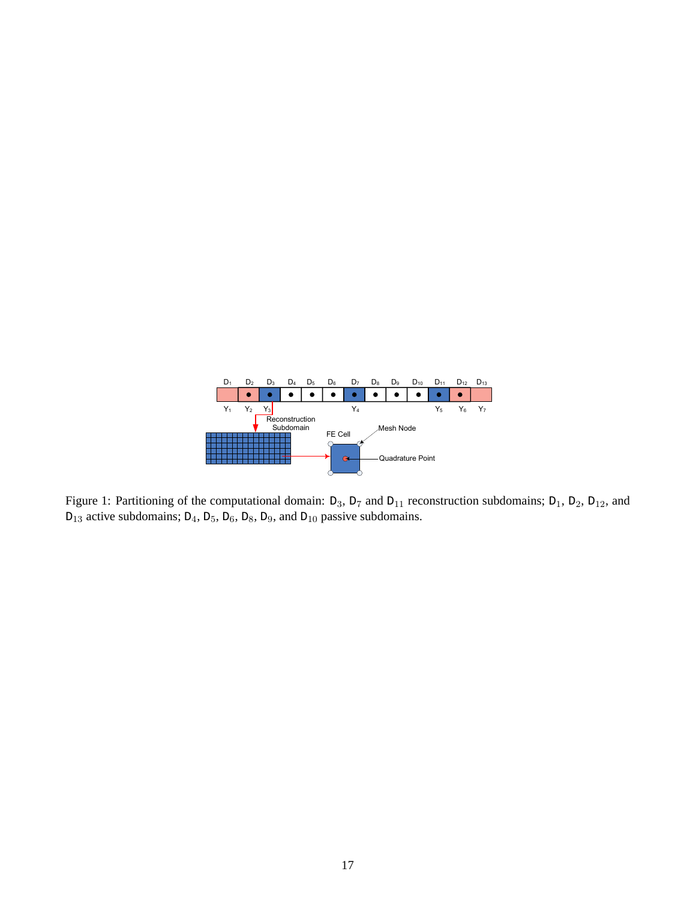

Figure 1: Partitioning of the computational domain:  $D_3$ ,  $D_7$  and  $D_{11}$  reconstruction subdomains;  $D_1$ ,  $D_2$ ,  $D_{12}$ , and  $D_{13}$  active subdomains;  $D_4$ ,  $D_5$ ,  $D_6$ ,  $D_8$ ,  $D_9$ , and  $D_{10}$  passive subdomains.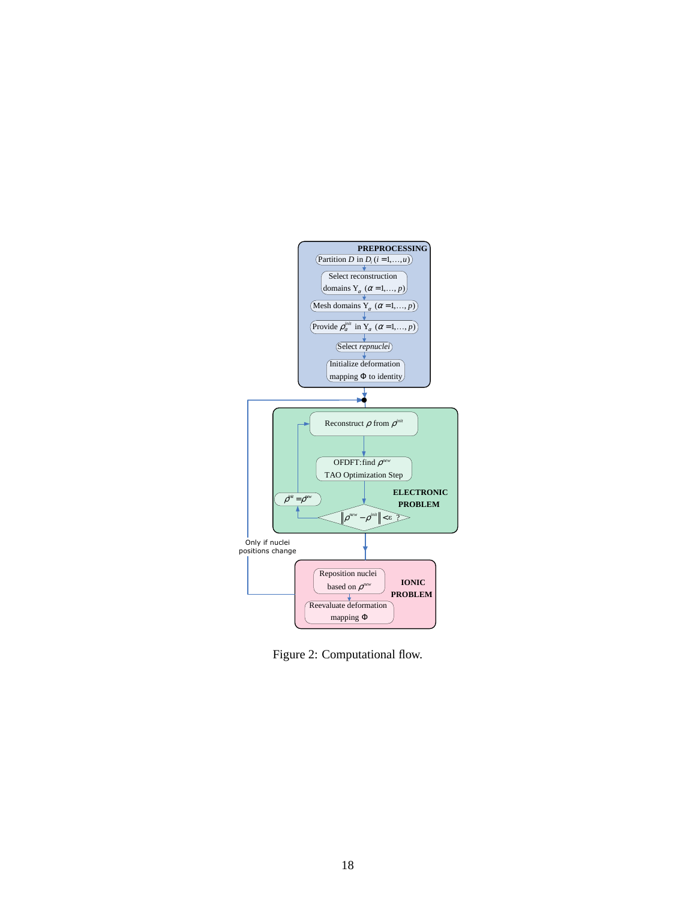

Figure 2: Computational flow.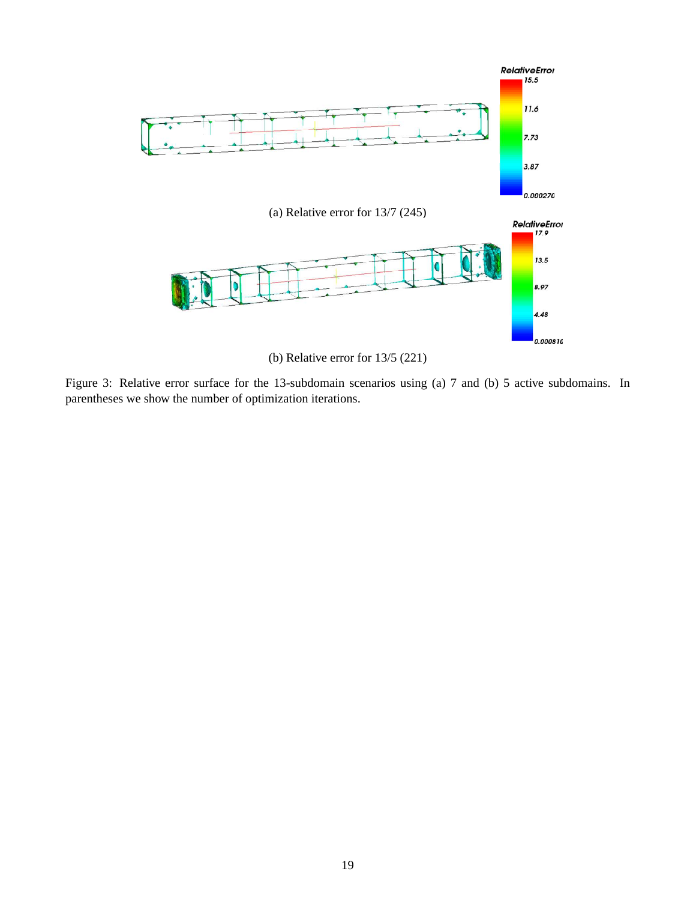

Figure 3: Relative error surface for the 13-subdomain scenarios using (a) 7 and (b) 5 active subdomains. In parentheses we show the number of optimization iterations.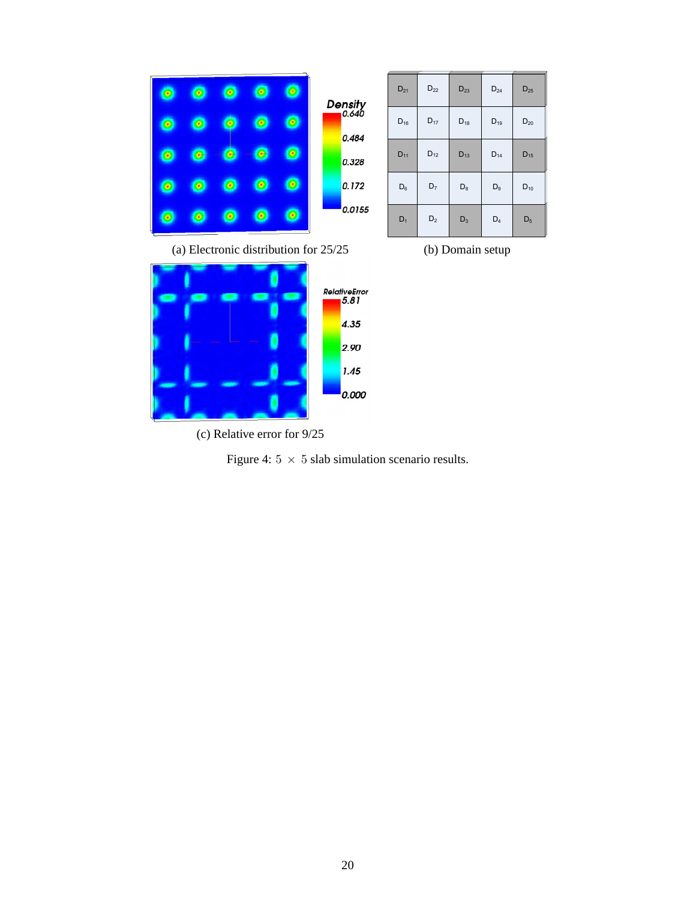

| $D_{21}$       | $D_{22}$ | $D_{23}$       | $D_{24}$ | $D_{25}$ |
|----------------|----------|----------------|----------|----------|
| $D_{16}$       | $D_{17}$ | $D_{18}$       | $D_{19}$ | $D_{20}$ |
| $D_{11}$       | $D_{12}$ | $D_{13}$       | $D_{14}$ | $D_{15}$ |
| $\mathsf{D}_6$ | $D_7$    | $\mathsf{D}_8$ | $D_9$    | $D_{10}$ |
| $D_1$          | $D_2$    | $D_3$          | $D_4$    | $D_5$    |

(c) Relative error for 9/25

Figure 4:  $5 \times 5$  slab simulation scenario results.